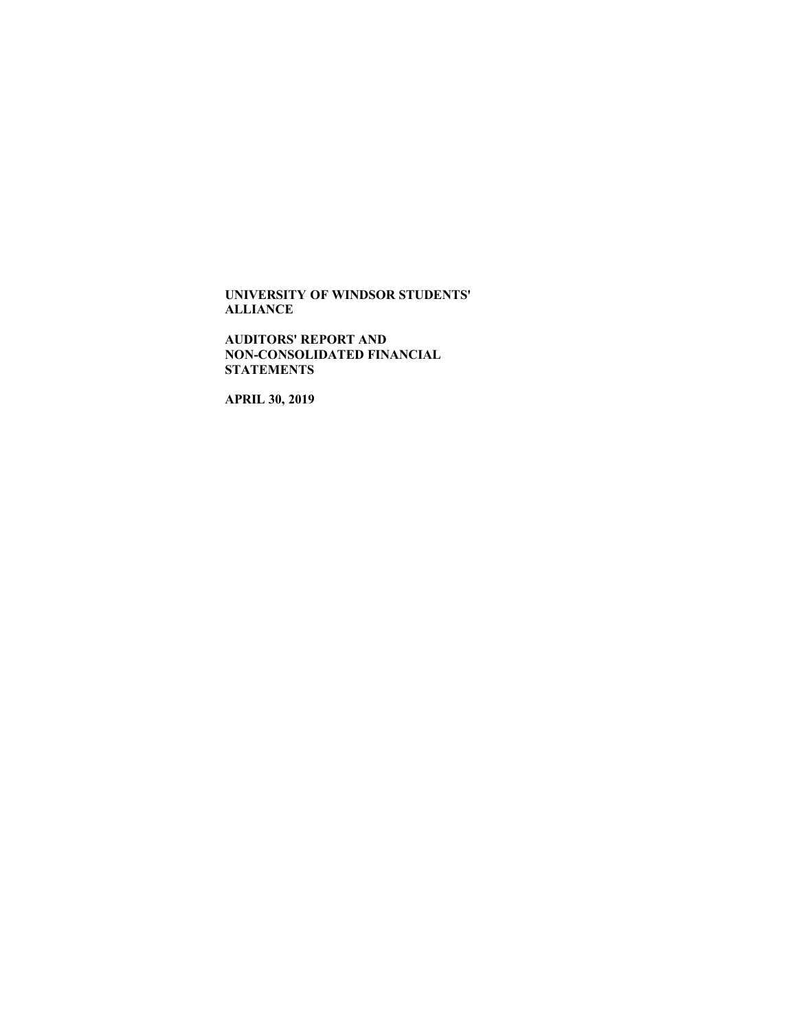**AUDITORS' REPORT AND NON-CONSOLIDATED FINANCIAL STATEMENTS**

**APRIL 30, 2019**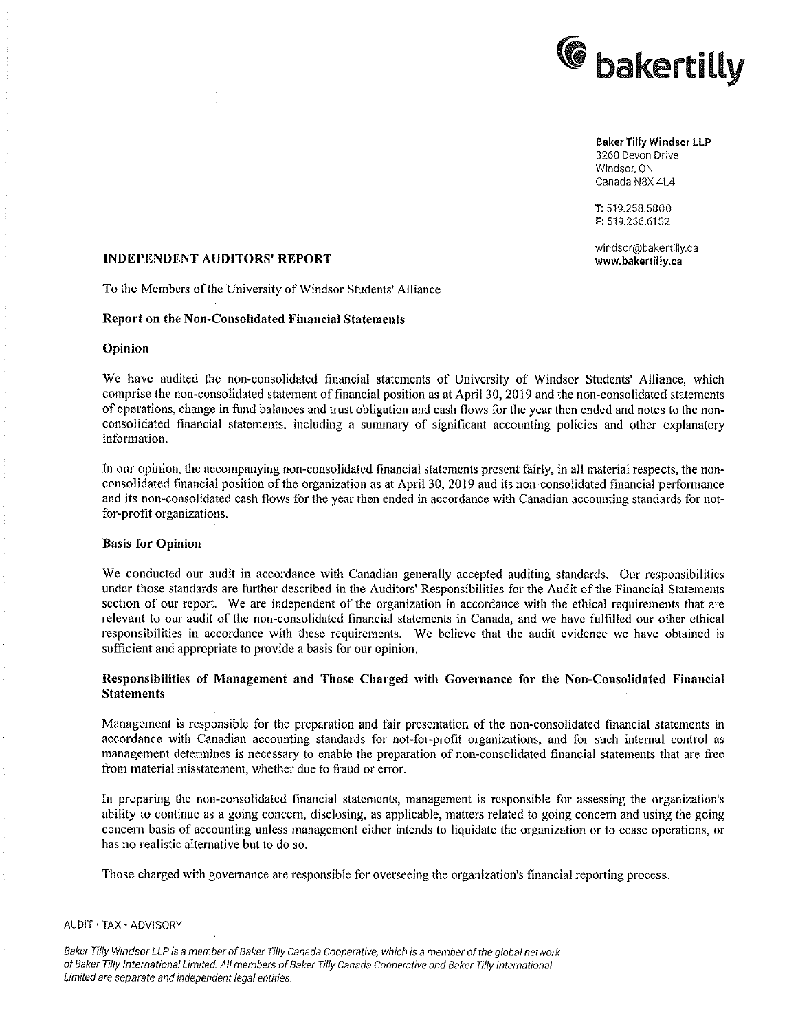

Baker Tilly Windsor LLP 3260 Devon Drive Windsor, ON Canada N8X 41.4

T: 519.258.5800 F: 519.256.6152

windsor@bakertilly.ca

# INDEPENDENT AUDITORS' REPORT www.bakeriilly.ca

To the Members of the University of Windsor Students' Alliance

### Report on the Non-Consolidated Financial Statements

#### Opinion

We have audited the non-consolidated financial statements of University of Windsor Students' Ailiance, which comprise the non-consolidated statement of financial position as at April 30, 2019 and the non-consolidated statements of operations, change in fund balances and trust obligation and cash flows for the year then ended and notes to the nonconsolidated financial statements, including a summary of significant accounting policies and other explanatory information.

In our opinion, the accompanying non-consolidated financial statements present fairly, in all material respects, the nonconsolidated financial position of the organization as at April 30, 2019 and its non-consolidated financial performance and its non-consolidated cash flows for the year then ended in accordance with Canadian accounting standards for not for-profit organizations.

### Basis for Opinion

We conducted our audit in accordance with Canadian generally accepted auditing standards. Our responsibilities under those standards are further described in the Auditors' Responsibilities for the Audit of the 'Financiai Statements section of our report. We are independent of the organization in accordance with the ethical requirements that are relevant to our audit of the non-consolidated financial statements in Canada, and we have fulfilled our other ethical responsibilities in accordance with these requirements. We believe that the audit evidence we have obtained is sufficient and appropriate to provide a basis for our opinion.

### Responsibilities of Management and Those Charged with Governance for the Non-Consolidated Financial Statements **Statements**  $\mathbb{R}^n$  is the statement of  $\mathbb{R}^n$  is the statements of  $\mathbb{R}^n$  is the statements

Management is responsible for the preparation and fair presentation of the non-consolidated financial statements in accordance with Canadian accounting standards for not-for-profit organizations, and for such internal control as management determines is necessary to enable the preparation of non—consolidated financial statements that are free from material misstatement, whether due to fraud or error.

In preparing the nonconsolidated financial statements, management is responsible for assessing the organization's ability to continue as going concern, disclosing, as applicable, matters related to going concern and using the going concern basis of accounting unless management either intends to liquidate the organization or to cease operations, or has no realistic alternative but to do so.

Those charged with governance are responsible for overseeing the organization's financial reporting process.

#### AUDIT - TAX ' ADVlSORY

Baker Tilly Windsor LLP is a member of Baker Tilly Canada Cooperative, which is a member of the global network of Baker Tilly International Limited All members of Baker Tilly Canada Cooperative and Baker Tilly International Limited are separate and independent legal entities,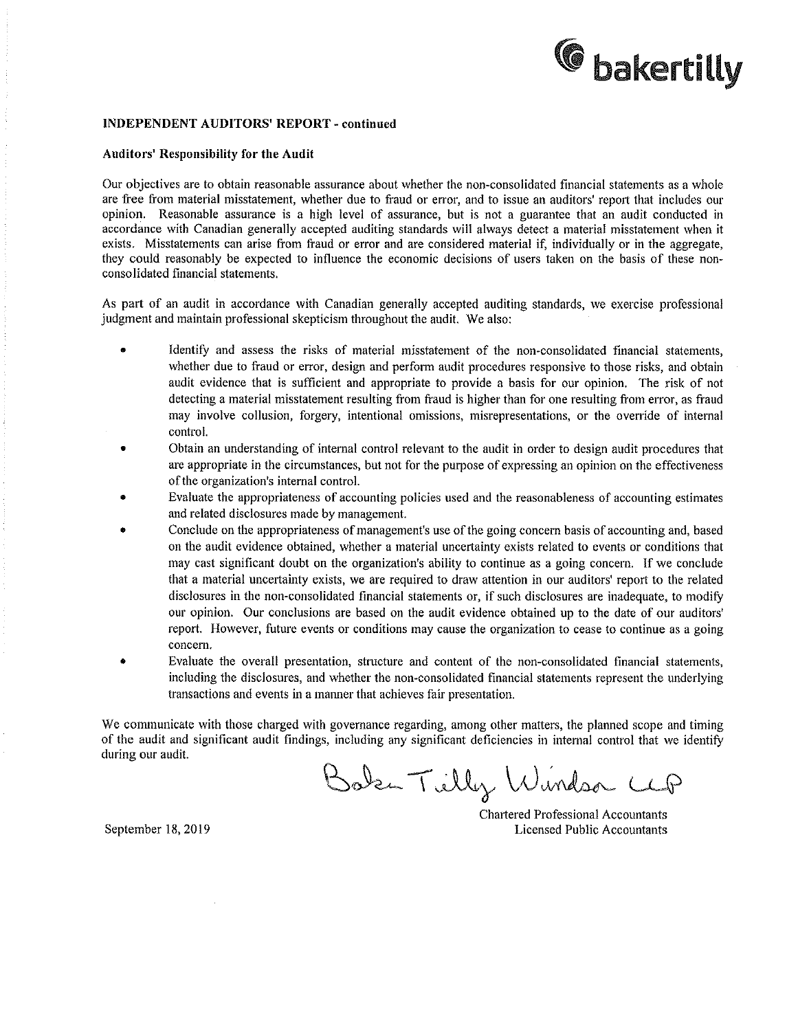

#### INDEPENDENT AUDITORS' REPORT - continued

#### Auditors' ReSponsibility for the Audit

Our objectives are to obtain reasonable assurance about whether the non—consolidated financial statements as whole are free from material misstatement, whether due to fraud or error, and to issue an auditors' report that includes our opinion. Reasonable assurance is a high level of assurance, but is not a guarantee that an audit conducted in accordance with Canadian generally accepted auditing standards will always detect a material misstatement when it exists. Misstatements can arise from fraud or error and are considered material if, individually or in the aggregate, they couid reasonably be expected to influence the economic decisions of users taken on the basis of these nonconsolidated financial statements.

As part of an audit in accordance with Canadian generally accepted auditing standards, we exercise professional judgment and maintain professional skepticism throughout the audit. We also:

- Identify and assess the risks of material misstatement of the non-consolidated financial statements, whether due to fraud or error, design and perform audit procedures responsive to those risks, and obtain audit evidence that is sufficient and appropriate to provide a basis for our opinion. The risk of not detecting a material misstatement resulting from fraud is higher than for one resulting from error, as fraud may involve collusion, forgery, intentional omissions, misrepresentations, or the override of internal control.
- 0 Obtain an understanding of internal control relevant to the audit in order to design audit procedures that are appropriate in the circumstances, but not for the purpose of expressing an opinion on the effectiveness of the organization's internal controi.
- Evaluate the appropriateness of accounting policies used and the reasonableness of accounting estimates and related disclosures made by management.
- <sup>0</sup> Conciude on the appropriateness of management's use of the going concern basis of accounting and, based on the audit evidence obtained, whether a material uncertainty exists related to events or conditions that may cast significant doubt on the organization's ability to continue as going concern. If we conclude that material uncertainty exists, we are required to draw attention in our auditors' report to the reiated disclosures in the non-consolidated financial statements or, if such disclosures are inadequate, to modify our opinion. Our conclusions are based on the audit evidence obtained up to the date of our auditors' report. However, future events or conditions may cause the organization to cease to continue as a going concem.
- Evaluate the overall presentation, structure and content of the non-consolidated financial statements, including the disclosures, and whether the non-consolidated financial statements represent the underlying transactions and events in a manner that achieves fair presentation.

We communicate with those charged with governance regarding, among other matters, the planned scope and timing of the audit and significant audit findings, including any significant deficiencies in internal control that we identify during our audit.

Bake Tilly Windsor CCP

Chartered Professional Accountants September 18, 2019 Licensed Public Accountants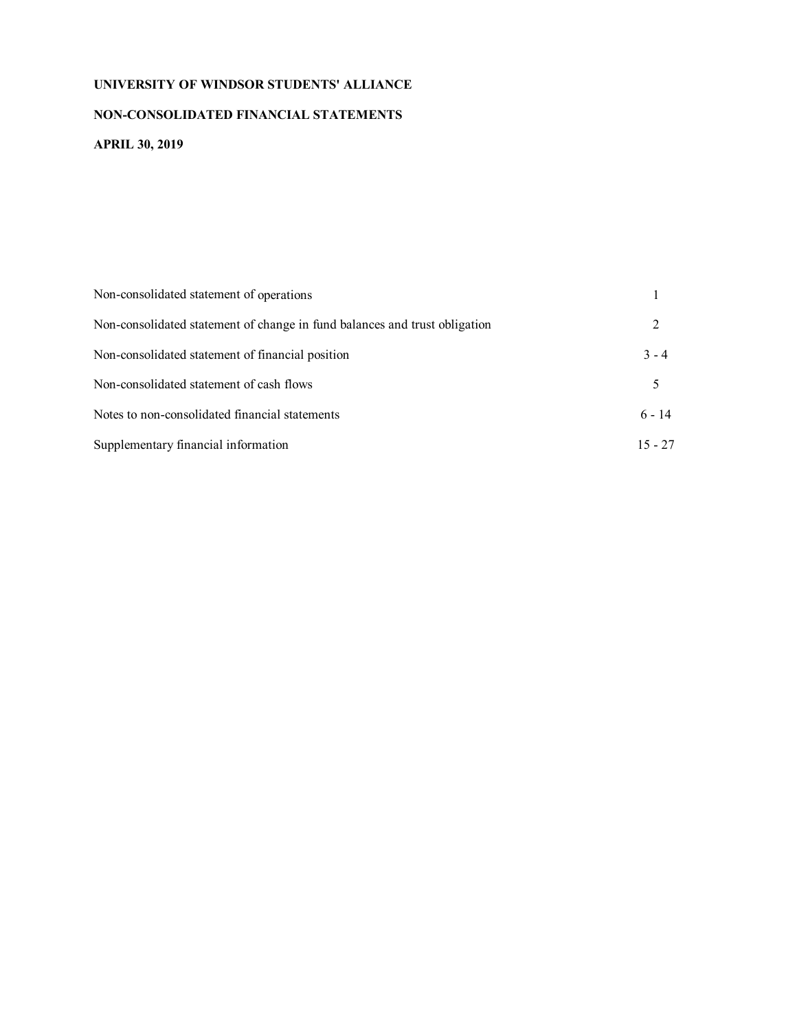# **NON-CONSOLIDATED FINANCIAL STATEMENTS**

# **APRIL 30, 2019**

| Non-consolidated statement of operations                                   |           |
|----------------------------------------------------------------------------|-----------|
| Non-consolidated statement of change in fund balances and trust obligation | 2         |
| Non-consolidated statement of financial position                           | $3 - 4$   |
| Non-consolidated statement of cash flows                                   | 5         |
| Notes to non-consolidated financial statements                             | $6 - 14$  |
| Supplementary financial information                                        | $15 - 27$ |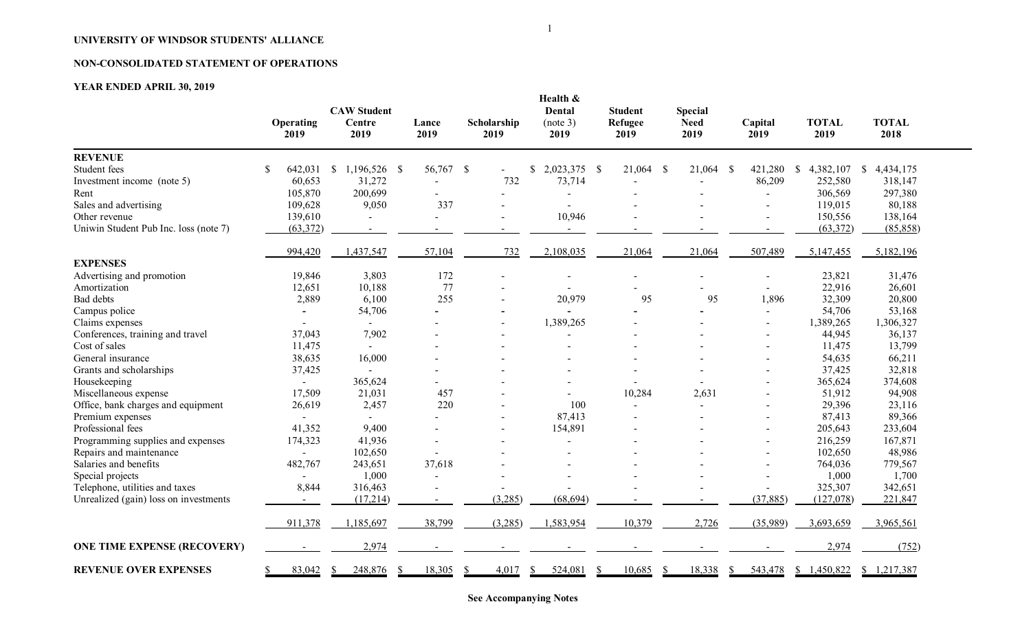# **NON-CONSOLIDATED STATEMENT OF OPERATIONS**

# **YEAR ENDED APRIL 30, 2019**

|                                       | <b>Operating</b><br>2019 | <b>CAW Student</b><br>Centre<br>2019 | Lance<br>2019 | Scholarship<br>2019 | Health &<br>Dental<br>(note 3)<br>2019 | <b>Student</b><br>Refugee<br>2019 | <b>Special</b><br><b>Need</b><br>2019 | Capital<br>2019 | <b>TOTAL</b><br>2019       | <b>TOTAL</b><br>2018      |
|---------------------------------------|--------------------------|--------------------------------------|---------------|---------------------|----------------------------------------|-----------------------------------|---------------------------------------|-----------------|----------------------------|---------------------------|
| <b>REVENUE</b>                        |                          |                                      |               |                     |                                        |                                   |                                       |                 |                            |                           |
| Student fees                          | 642,031<br>\$            | $\mathbb{S}$<br>1,196,526 \$         | 56,767 \$     |                     | 2,023,375 \$<br>\$                     | 21,064                            | -S<br>21,064                          | 421,280<br>- \$ | 4,382,107<br><sup>\$</sup> | 4,434,175<br>$\mathbb{S}$ |
| Investment income (note 5)            | 60,653                   | 31,272                               |               | 732                 | 73,714                                 |                                   |                                       | 86,209          | 252,580                    | 318,147                   |
| Rent                                  | 105,870                  | 200,699                              |               |                     |                                        |                                   |                                       |                 | 306,569                    | 297,380                   |
| Sales and advertising                 | 109,628                  | 9,050                                | 337           |                     |                                        |                                   |                                       |                 | 119,015                    | 80,188                    |
| Other revenue                         | 139,610                  |                                      |               |                     | 10,946                                 |                                   |                                       |                 | 150,556                    | 138,164                   |
| Uniwin Student Pub Inc. loss (note 7) | (63,372)                 | $\sim$                               |               |                     |                                        |                                   |                                       |                 | (63,372)                   | (85, 858)                 |
|                                       | 994,420                  | 1,437,547                            | 57,104        | 732                 | 2,108,035                              | 21,064                            | 21,064                                | 507,489         | 5,147,455                  | 5,182,196                 |
| <b>EXPENSES</b>                       |                          |                                      |               |                     |                                        |                                   |                                       |                 |                            |                           |
| Advertising and promotion             | 19,846                   | 3,803                                | 172           |                     |                                        |                                   |                                       |                 | 23,821                     | 31,476                    |
| Amortization                          | 12,651                   | 10,188                               | 77            |                     |                                        |                                   |                                       |                 | 22,916                     | 26,601                    |
| Bad debts                             | 2,889                    | 6,100                                | 255           |                     | 20,979                                 | 95                                | 95                                    | 1,896           | 32,309                     | 20,800                    |
| Campus police                         |                          | 54,706                               |               |                     |                                        |                                   |                                       |                 | 54,706                     | 53,168                    |
| Claims expenses                       |                          |                                      |               |                     | 1,389,265                              |                                   |                                       |                 | 1,389,265                  | 1,306,327                 |
| Conferences, training and travel      | 37,043                   | 7,902                                |               |                     |                                        |                                   |                                       |                 | 44,945                     | 36,137                    |
| Cost of sales                         | 11,475                   |                                      |               |                     |                                        |                                   |                                       |                 | 11,475                     | 13,799                    |
| General insurance                     | 38,635                   | 16,000                               |               |                     |                                        |                                   |                                       |                 | 54,635                     | 66,211                    |
| Grants and scholarships               | 37,425                   |                                      |               |                     |                                        |                                   |                                       |                 | 37,425                     | 32,818                    |
| Housekeeping                          | $\blacksquare$           | 365,624                              |               |                     |                                        |                                   |                                       |                 | 365,624                    | 374,608                   |
| Miscellaneous expense                 | 17,509                   | 21,031                               | 457           |                     |                                        | 10,284                            | 2,631                                 |                 | 51,912                     | 94,908                    |
| Office, bank charges and equipment    | 26,619                   | 2,457                                | 220           |                     | 100                                    |                                   |                                       |                 | 29,396                     | 23,116                    |
| Premium expenses                      |                          |                                      |               |                     | 87,413                                 |                                   |                                       |                 | 87,413                     | 89,366                    |
| Professional fees                     | 41,352                   | 9,400                                |               |                     | 154,891                                |                                   |                                       |                 | 205,643                    | 233,604                   |
| Programming supplies and expenses     | 174,323                  | 41,936                               |               |                     |                                        |                                   |                                       |                 | 216,259                    | 167,871                   |
| Repairs and maintenance               |                          | 102,650                              |               |                     |                                        |                                   |                                       |                 | 102,650                    | 48,986                    |
| Salaries and benefits                 | 482,767                  | 243,651                              | 37,618        |                     |                                        |                                   |                                       |                 | 764,036                    | 779,567                   |
| Special projects                      |                          | 1,000                                |               |                     |                                        |                                   |                                       |                 | 1,000                      | 1,700                     |
| Telephone, utilities and taxes        | 8,844                    | 316,463                              |               |                     |                                        |                                   |                                       |                 | 325,307                    | 342,651                   |
| Unrealized (gain) loss on investments |                          | (17, 214)                            | $\sim$        | (3,285)             | (68, 694)                              |                                   |                                       | (37, 885)       | (127,078)                  | 221,847                   |
|                                       | 911,378                  | 1,185,697                            | 38,799        | (3,285)             | 1,583,954                              | 10,379                            | 2,726                                 | (35,989)        | 3,693,659                  | 3,965,561                 |
| <b>ONE TIME EXPENSE (RECOVERY)</b>    |                          | 2,974                                |               |                     |                                        |                                   |                                       |                 | 2,974                      | (752)                     |
| <b>REVENUE OVER EXPENSES</b>          | 83,042                   | 248,876                              | 18,305        | 4,017               | 524,081                                | 10,685                            | 18,338                                | 543,478<br>S    | \$1,450,822                | \$1,217,387               |

**See Accompanying Notes**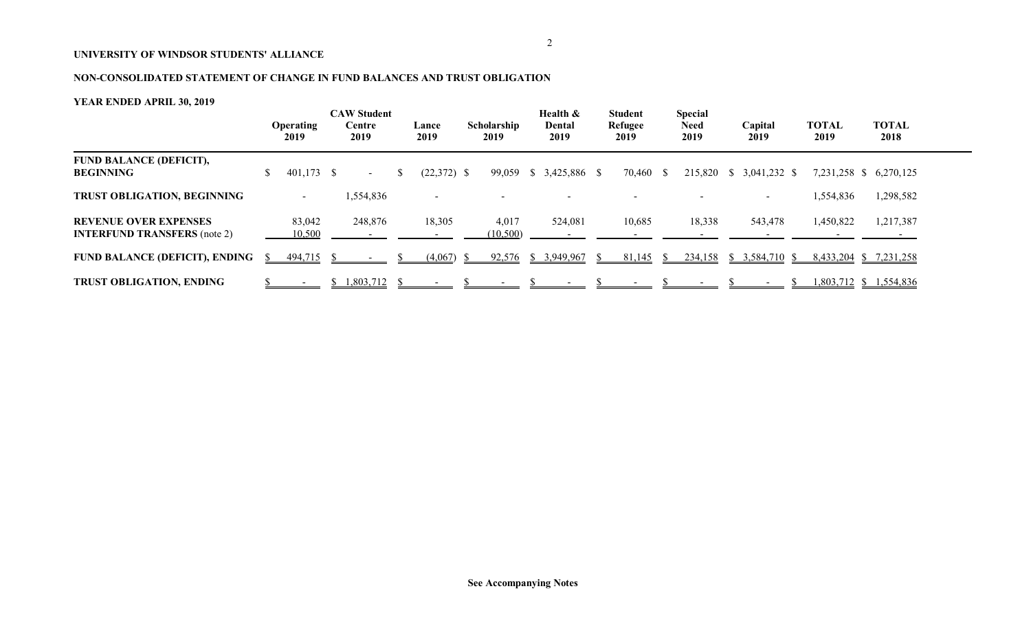# **NON-CONSOLIDATED STATEMENT OF CHANGE IN FUND BALANCES AND TRUST OBLIGATION**

|                                                                     |              | <b>Operating</b><br>2019 | <b>CAW Student</b><br>Centre<br>2019 | Lance<br>2019            | Scholarship<br>2019 | Health &<br>Dental<br>2019 | <b>Student</b><br><b>Refugee</b><br>2019 | <b>Special</b><br><b>Need</b><br>2019 | Capital<br>2019          | <b>TOTAL</b><br>2019 |           | <b>TOTAL</b><br>2018   |  |
|---------------------------------------------------------------------|--------------|--------------------------|--------------------------------------|--------------------------|---------------------|----------------------------|------------------------------------------|---------------------------------------|--------------------------|----------------------|-----------|------------------------|--|
| <b>FUND BALANCE (DEFICIT),</b><br><b>BEGINNING</b>                  |              | $401,173$ \$             | $\sim$                               | $(22,372)$ \$            |                     | 99,059 \$ 3,425,886 \$     | 70,460 \$                                |                                       | 215,820 \$ 3,041,232 \$  |                      |           | 7,231,258 \$ 6,270,125 |  |
| <b>TRUST OBLIGATION, BEGINNING</b>                                  |              | $\overline{\phantom{0}}$ | 1,554,836                            | $\overline{\phantom{a}}$ |                     |                            |                                          |                                       | $\overline{\phantom{a}}$ |                      | 1,554,836 | 1,298,582              |  |
| <b>REVENUE OVER EXPENSES</b><br><b>INTERFUND TRANSFERS</b> (note 2) |              | 83,042<br>10,500         | 248,876                              | 18,305                   | 4,017<br>(10, 500)  | 524,081                    | 10,685                                   | 18,338                                | 543,478                  |                      | 1,450,822 | 1,217,387              |  |
| <b>FUND BALANCE (DEFICIT), ENDING</b>                               | <sup>S</sup> | $494,715$ \$             |                                      | (4,067)                  | 92,576              | \$3,949,967                | 81,145                                   | 234,158                               | $$3,584,710$ \;          |                      |           | 8,433,204 \$ 7,231,258 |  |
| <b>TRUST OBLIGATION, ENDING</b>                                     |              |                          | 1,803,712                            |                          |                     |                            |                                          |                                       |                          |                      |           | 1,803,712 \$ 1,554,836 |  |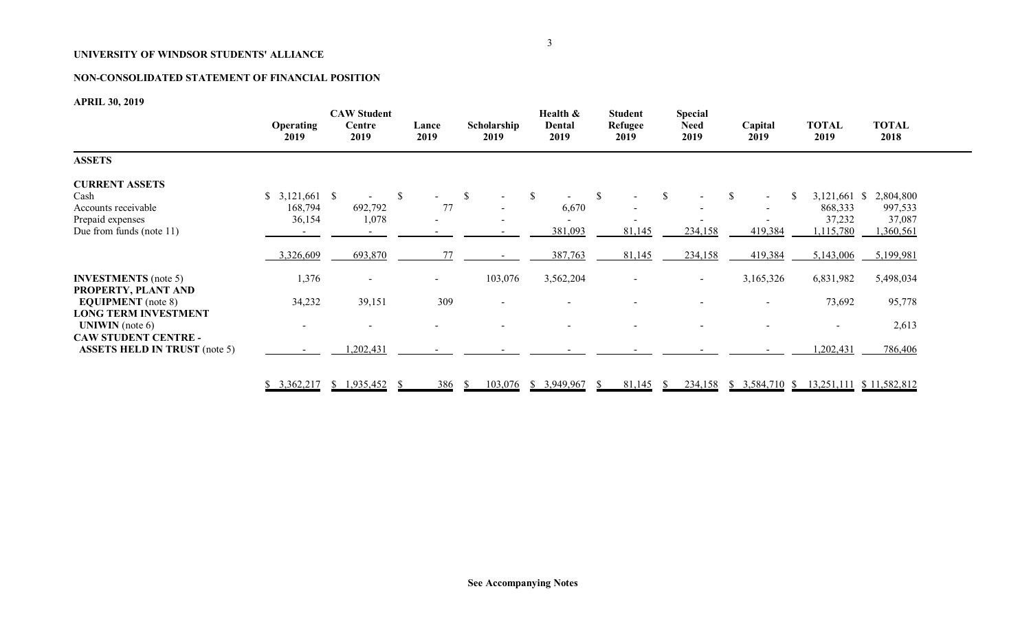# **NON-CONSOLIDATED STATEMENT OF FINANCIAL POSITION**

**APRIL 30, 2019**

|                                                                                                                | Operating<br>2019        | <b>CAW Student</b><br>Centre<br>2019 | Lance<br>2019                          | Scholarship<br>2019 | Health &<br>Dental<br>2019       | <b>Student</b><br>Refugee<br>2019 | <b>Special</b><br><b>Need</b><br>2019 | Capital<br>2019                                               | <b>TOTAL</b><br>2019                             | <b>TOTAL</b><br>2018                        |
|----------------------------------------------------------------------------------------------------------------|--------------------------|--------------------------------------|----------------------------------------|---------------------|----------------------------------|-----------------------------------|---------------------------------------|---------------------------------------------------------------|--------------------------------------------------|---------------------------------------------|
| <b>ASSETS</b>                                                                                                  |                          |                                      |                                        |                     |                                  |                                   |                                       |                                                               |                                                  |                                             |
| <b>CURRENT ASSETS</b><br>Cash<br>Accounts receivable<br>Prepaid expenses<br>Due from funds (note 11)           | 168,794<br>36,154        | 692,792<br>1,078                     | $\mathbb{S}$<br>$\sim$<br>77<br>$\sim$ | <sup>S</sup>        | $\mathbb{S}$<br>6,670<br>381,093 | -S<br>81,145                      | <sup>S</sup><br>234,158               | <sup>\$</sup><br><sup>\$</sup><br>$\sim$<br>$\sim$<br>419,384 | $3,121,661$ \$<br>868,333<br>37,232<br>1,115,780 | 2,804,800<br>997,533<br>37,087<br>1,360,561 |
|                                                                                                                | 3,326,609                | 693,870                              | 77                                     |                     | 387,763                          | 81,145                            | 234,158                               | 419,384                                                       | 5,143,006                                        | 5,199,981                                   |
| <b>INVESTMENTS</b> (note 5)<br>PROPERTY, PLANT AND<br><b>EQUIPMENT</b> (note 8)<br><b>LONG TERM INVESTMENT</b> | 1,376<br>34,232          | 39,151                               | $\sim$<br>309                          | 103,076             | 3,562,204                        |                                   | $\sim$                                | 3,165,326<br>$\overline{\phantom{a}}$                         | 6,831,982<br>73,692                              | 5,498,034<br>95,778                         |
| <b>UNIWIN</b> (note $6$ )<br><b>CAW STUDENT CENTRE -</b><br><b>ASSETS HELD IN TRUST</b> (note 5)               | $\overline{\phantom{a}}$ | ,202,431                             | $\overline{\phantom{a}}$               |                     |                                  |                                   |                                       |                                                               | $\overline{\phantom{0}}$<br>,202,431             | 2,613<br>786,406                            |
|                                                                                                                |                          | $$3,362,217$ $$1,935,452$            | 386                                    | <sup>S</sup>        | 103,076 \$ 3,949,967             | $81,145$ \$<br>-SS                |                                       |                                                               | 234,158 \$ 3,584,710 \$ 13,251,111 \$ 11,582,812 |                                             |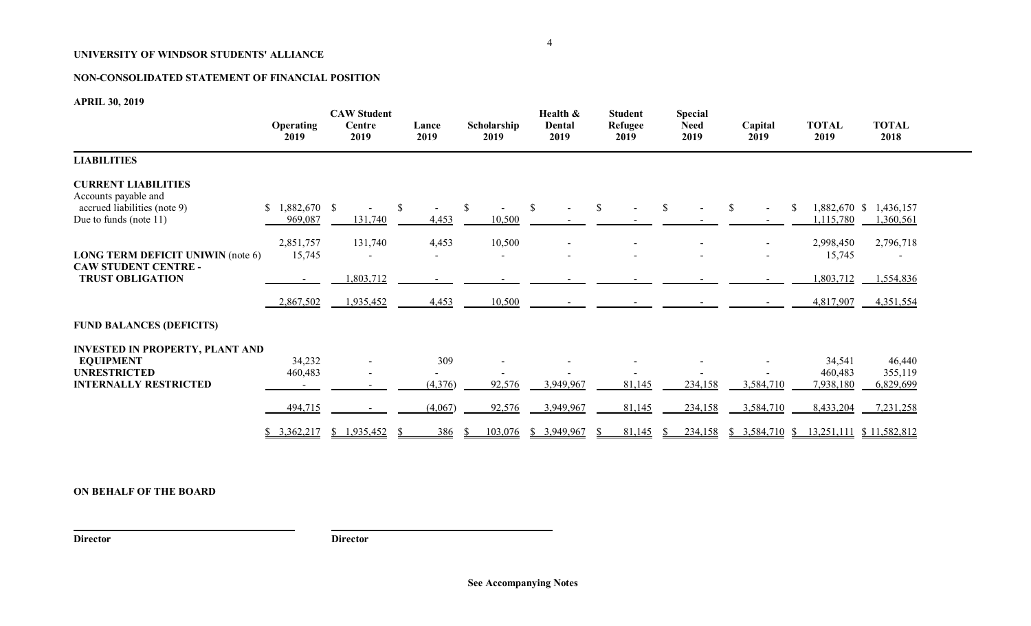# **NON-CONSOLIDATED STATEMENT OF FINANCIAL POSITION**

**APRIL 30, 2019**

|                                                                                                                   | <b>Operating</b><br>2019     | <b>CAW Student</b><br>Centre<br>2019 | Lance<br>2019                           | Scholarship<br>2019     | Health &<br>Dental<br>2019 | <b>Student</b><br>Refugee<br>2019 | <b>Special</b><br><b>Need</b><br>2019 | Capital<br>2019        | <b>TOTAL</b><br>2019             | <b>TOTAL</b><br>2018                        |
|-------------------------------------------------------------------------------------------------------------------|------------------------------|--------------------------------------|-----------------------------------------|-------------------------|----------------------------|-----------------------------------|---------------------------------------|------------------------|----------------------------------|---------------------------------------------|
| <b>LIABILITIES</b>                                                                                                |                              |                                      |                                         |                         |                            |                                   |                                       |                        |                                  |                                             |
| <b>CURRENT LIABILITIES</b><br>Accounts payable and<br>accrued liabilities (note 9)<br>Due to funds (note 11)      | 969,087                      | $\blacksquare$<br>131,740            | <sup>S</sup><br>$\blacksquare$<br>4,453 | -S<br>10,500            | \$.                        | -S                                | <sup>\$</sup><br>$\sim$               | -S<br>$\sim$           | 1,882,670 \$<br>S.<br>1,115,780  | 1,436,157<br>1,360,561                      |
| <b>LONG TERM DEFICIT UNIWIN (note 6)</b><br><b>CAW STUDENT CENTRE -</b><br><b>TRUST OBLIGATION</b>                | 2,851,757<br>15,745          | 131,740<br>1,803,712                 | 4,453                                   | 10,500                  | $\blacksquare$             |                                   |                                       | $\sim$                 | 2,998,450<br>15,745<br>1,803,712 | 2,796,718<br>1,554,836                      |
|                                                                                                                   | 2,867,502                    | 1,935,452                            | 4,453                                   | 10,500                  |                            |                                   |                                       |                        | 4,817,907                        | 4,351,554                                   |
| <b>FUND BALANCES (DEFICITS)</b>                                                                                   |                              |                                      |                                         |                         |                            |                                   |                                       |                        |                                  |                                             |
| <b>INVESTED IN PROPERTY, PLANT AND</b><br><b>EQUIPMENT</b><br><b>UNRESTRICTED</b><br><b>INTERNALLY RESTRICTED</b> | 34,232<br>460,483<br>494,715 | $\blacksquare$<br>$\blacksquare$     | 309<br>(4,376)<br>(4,067)               | 92,576<br>92,576        | 3,949,967<br>3,949,967     | 81,145                            | 234,158<br>234,158                    | 3,584,710<br>3,584,710 | 34,541<br>460,483<br>7,938,180   | 46,440<br>355,119<br>6,829,699<br>7,231,258 |
|                                                                                                                   | \$3,362,217                  | \$1,935,452                          | 386                                     | 103,076<br><sup>2</sup> | \$3,949,967                | 81,145<br>81,145                  | 234,158                               | $$3,584,710$ \, $$$    | 8,433,204                        | 13,251,111 \$ 11,582,812                    |

# **ON BEHALF OF THE BOARD**

**Director Director**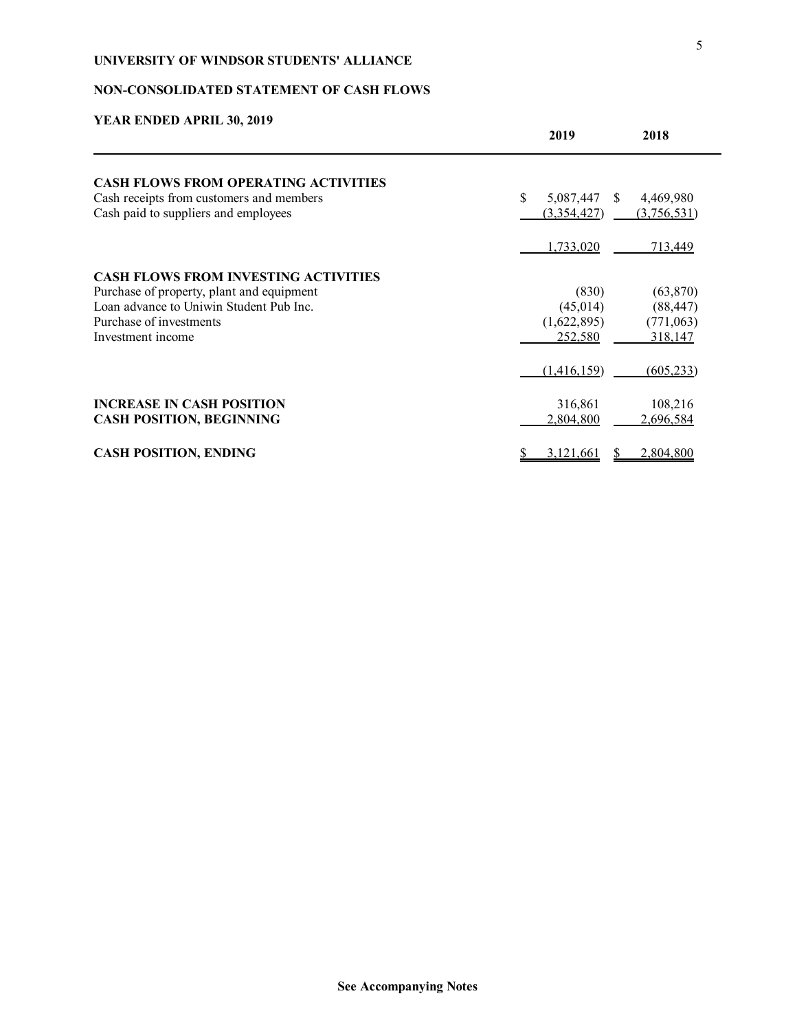# **NON-CONSOLIDATED STATEMENT OF CASH FLOWS**

| TEAN ENDED AT NIE 90, 2017                  | 2019                                            | 2018        |
|---------------------------------------------|-------------------------------------------------|-------------|
| <b>CASH FLOWS FROM OPERATING ACTIVITIES</b> |                                                 |             |
| Cash receipts from customers and members    | $\mathbf{\hat{s}}$<br>5,087,447<br><sup>S</sup> | 4,469,980   |
| Cash paid to suppliers and employees        | (3,354,427)                                     | (3,756,531) |
|                                             | 1,733,020                                       | 713,449     |
| <b>CASH FLOWS FROM INVESTING ACTIVITIES</b> |                                                 |             |
| Purchase of property, plant and equipment   | (830)                                           | (63, 870)   |
| Loan advance to Uniwin Student Pub Inc.     | (45, 014)                                       | (88, 447)   |
| Purchase of investments                     | (1,622,895)                                     | (771,063)   |
| Investment income                           | 252,580                                         | 318,147     |
|                                             | (1,416,159)                                     | (605, 233)  |
| <b>INCREASE IN CASH POSITION</b>            | 316,861                                         | 108,216     |
| <b>CASH POSITION, BEGINNING</b>             | 2,804,800                                       | 2,696,584   |
| <b>CASH POSITION, ENDING</b>                | 3,121,661                                       | 2,804,800   |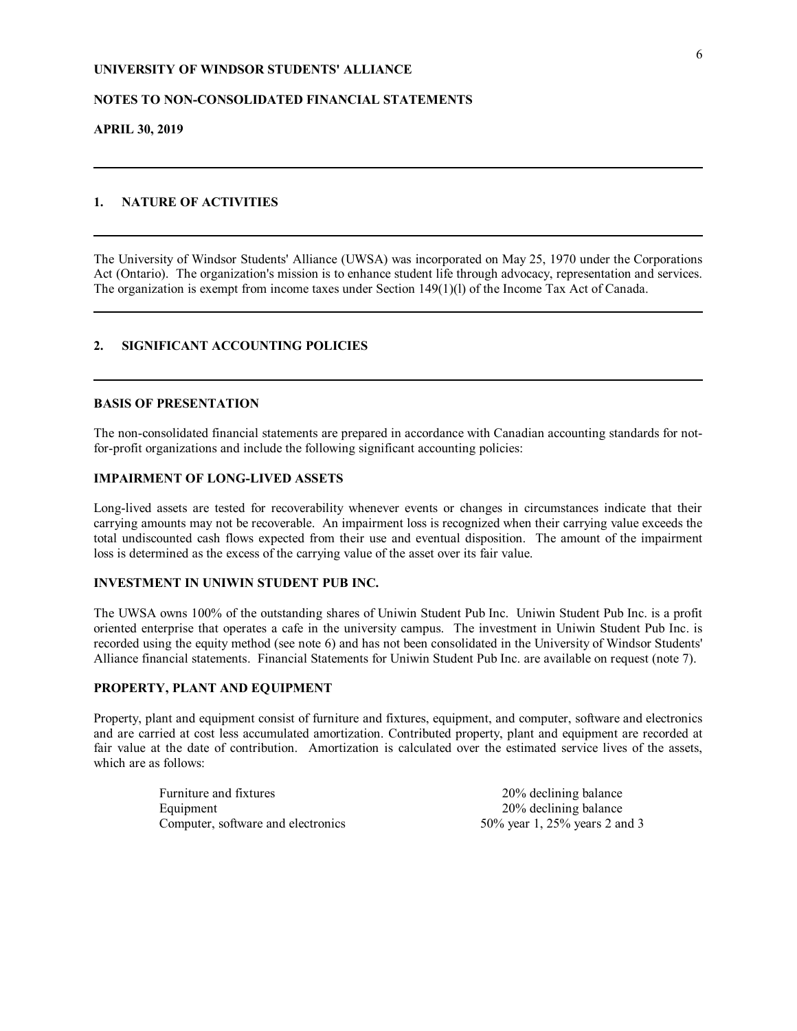### **NOTES TO NON-CONSOLIDATED FINANCIAL STATEMENTS**

**APRIL 30, 2019**

### **1. NATURE OF ACTIVITIES**

The University of Windsor Students' Alliance (UWSA) was incorporated on May 25, 1970 under the Corporations Act (Ontario). The organization's mission is to enhance student life through advocacy, representation and services. The organization is exempt from income taxes under Section 149(1)(l) of the Income Tax Act of Canada.

### **2. SIGNIFICANT ACCOUNTING POLICIES**

### **BASIS OF PRESENTATION**

The non-consolidated financial statements are prepared in accordance with Canadian accounting standards for notfor-profit organizations and include the following significant accounting policies:

#### **IMPAIRMENT OF LONG-LIVED ASSETS**

Long-lived assets are tested for recoverability whenever events or changes in circumstances indicate that their carrying amounts may not be recoverable. An impairment loss is recognized when their carrying value exceeds the total undiscounted cash flows expected from their use and eventual disposition. The amount of the impairment loss is determined as the excess of the carrying value of the asset over its fair value.

### **INVESTMENT IN UNIWIN STUDENT PUB INC.**

The UWSA owns 100% of the outstanding shares of Uniwin Student Pub Inc. Uniwin Student Pub Inc. is a profit oriented enterprise that operates a cafe in the university campus. The investment in Uniwin Student Pub Inc. is recorded using the equity method (see note 6) and has not been consolidated in the University of Windsor Students' Alliance financial statements. Financial Statements for Uniwin Student Pub Inc. are available on request (note 7).

### **PROPERTY, PLANT AND EQUIPMENT**

Property, plant and equipment consist of furniture and fixtures, equipment, and computer, software and electronics and are carried at cost less accumulated amortization. Contributed property, plant and equipment are recorded at fair value at the date of contribution. Amortization is calculated over the estimated service lives of the assets, which are as follows:

> Furniture and fixtures 20% declining balance Equipment 20% declining balance Computer, software and electronics 50% year 1, 25% years 2 and 3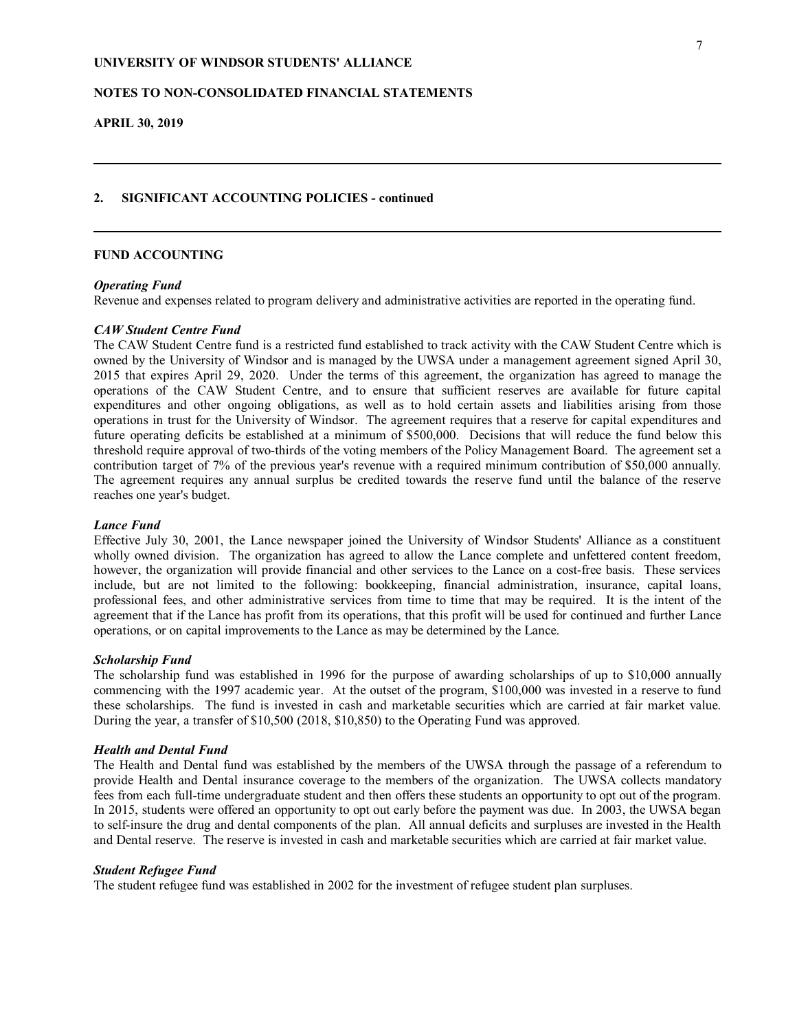### **NOTES TO NON-CONSOLIDATED FINANCIAL STATEMENTS**

**APRIL 30, 2019**

#### **2. SIGNIFICANT ACCOUNTING POLICIES - continued**

#### **FUND ACCOUNTING**

#### *Operating Fund*

Revenue and expenses related to program delivery and administrative activities are reported in the operating fund.

#### *CAW Student Centre Fund*

The CAW Student Centre fund is a restricted fund established to track activity with the CAW Student Centre which is owned by the University of Windsor and is managed by the UWSA under a management agreement signed April 30, 2015 that expires April 29, 2020. Under the terms of this agreement, the organization has agreed to manage the operations of the CAW Student Centre, and to ensure that sufficient reserves are available for future capital expenditures and other ongoing obligations, as well as to hold certain assets and liabilities arising from those operations in trust for the University of Windsor. The agreement requires that a reserve for capital expenditures and future operating deficits be established at a minimum of \$500,000. Decisions that will reduce the fund below this threshold require approval of two-thirds of the voting members of the Policy Management Board. The agreement set a contribution target of 7% of the previous year's revenue with a required minimum contribution of \$50,000 annually. The agreement requires any annual surplus be credited towards the reserve fund until the balance of the reserve reaches one year's budget.

#### *Lance Fund*

Effective July 30, 2001, the Lance newspaper joined the University of Windsor Students' Alliance as a constituent wholly owned division. The organization has agreed to allow the Lance complete and unfettered content freedom, however, the organization will provide financial and other services to the Lance on a cost-free basis. These services include, but are not limited to the following: bookkeeping, financial administration, insurance, capital loans, professional fees, and other administrative services from time to time that may be required. It is the intent of the agreement that if the Lance has profit from its operations, that this profit will be used for continued and further Lance operations, or on capital improvements to the Lance as may be determined by the Lance.

#### *Scholarship Fund*

The scholarship fund was established in 1996 for the purpose of awarding scholarships of up to \$10,000 annually commencing with the 1997 academic year. At the outset of the program, \$100,000 was invested in a reserve to fund these scholarships. The fund is invested in cash and marketable securities which are carried at fair market value. During the year, a transfer of \$10,500 (2018, \$10,850) to the Operating Fund was approved.

#### *Health and Dental Fund*

The Health and Dental fund was established by the members of the UWSA through the passage of a referendum to provide Health and Dental insurance coverage to the members of the organization. The UWSA collects mandatory fees from each full-time undergraduate student and then offers these students an opportunity to opt out of the program. In 2015, students were offered an opportunity to opt out early before the payment was due. In 2003, the UWSA began to self-insure the drug and dental components of the plan. All annual deficits and surpluses are invested in the Health and Dental reserve. The reserve is invested in cash and marketable securities which are carried at fair market value.

#### *Student Refugee Fund*

The student refugee fund was established in 2002 for the investment of refugee student plan surpluses.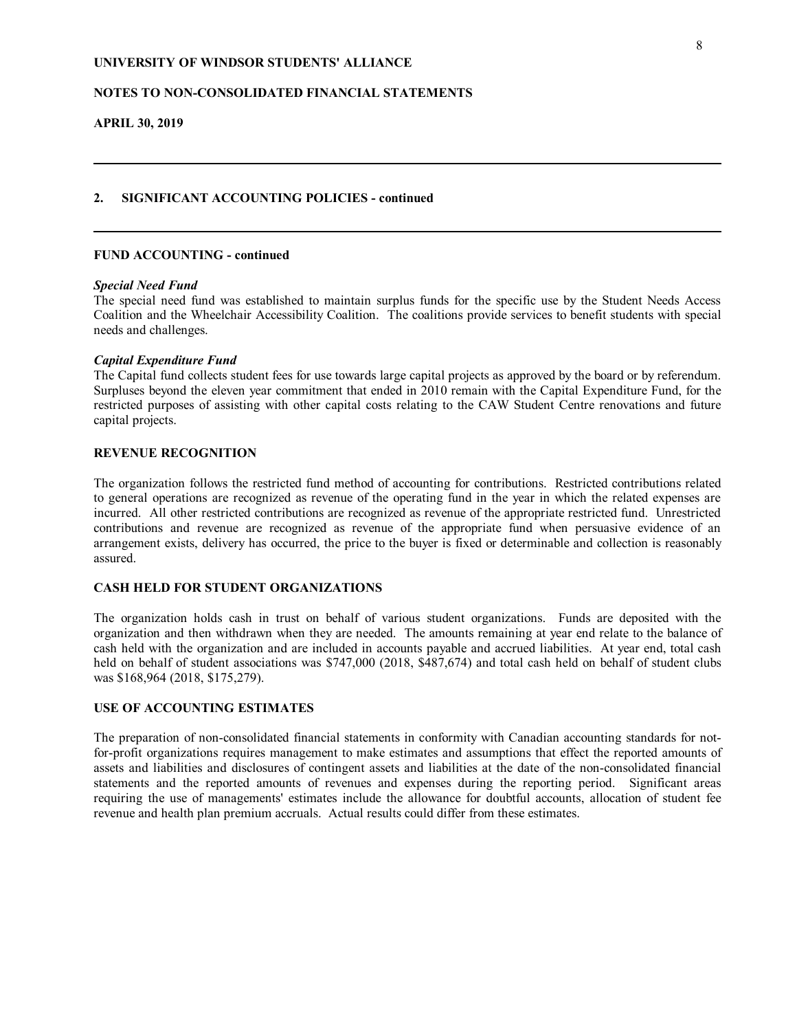### **NOTES TO NON-CONSOLIDATED FINANCIAL STATEMENTS**

**APRIL 30, 2019**

# **2. SIGNIFICANT ACCOUNTING POLICIES - continued**

### **FUND ACCOUNTING - continued**

#### *Special Need Fund*

The special need fund was established to maintain surplus funds for the specific use by the Student Needs Access Coalition and the Wheelchair Accessibility Coalition. The coalitions provide services to benefit students with special needs and challenges.

### *Capital Expenditure Fund*

The Capital fund collects student fees for use towards large capital projects as approved by the board or by referendum. Surpluses beyond the eleven year commitment that ended in 2010 remain with the Capital Expenditure Fund, for the restricted purposes of assisting with other capital costs relating to the CAW Student Centre renovations and future capital projects.

### **REVENUE RECOGNITION**

The organization follows the restricted fund method of accounting for contributions. Restricted contributions related to general operations are recognized as revenue of the operating fund in the year in which the related expenses are incurred. All other restricted contributions are recognized as revenue of the appropriate restricted fund. Unrestricted contributions and revenue are recognized as revenue of the appropriate fund when persuasive evidence of an arrangement exists, delivery has occurred, the price to the buyer is fixed or determinable and collection is reasonably assured.

### **CASH HELD FOR STUDENT ORGANIZATIONS**

The organization holds cash in trust on behalf of various student organizations. Funds are deposited with the organization and then withdrawn when they are needed. The amounts remaining at year end relate to the balance of cash held with the organization and are included in accounts payable and accrued liabilities. At year end, total cash held on behalf of student associations was \$747,000 (2018, \$487,674) and total cash held on behalf of student clubs was \$168,964 (2018, \$175,279).

### **USE OF ACCOUNTING ESTIMATES**

The preparation of non-consolidated financial statements in conformity with Canadian accounting standards for notfor-profit organizations requires management to make estimates and assumptions that effect the reported amounts of assets and liabilities and disclosures of contingent assets and liabilities at the date of the non-consolidated financial statements and the reported amounts of revenues and expenses during the reporting period. Significant areas requiring the use of managements' estimates include the allowance for doubtful accounts, allocation of student fee revenue and health plan premium accruals. Actual results could differ from these estimates.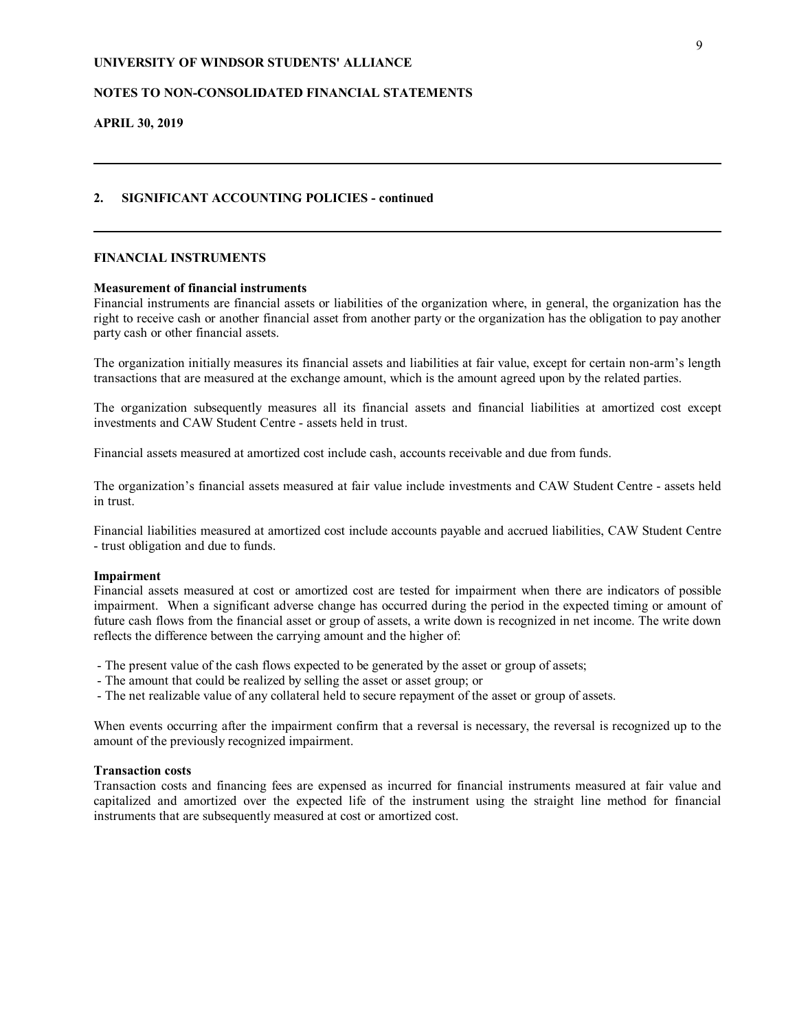### **NOTES TO NON-CONSOLIDATED FINANCIAL STATEMENTS**

**APRIL 30, 2019**

### **2. SIGNIFICANT ACCOUNTING POLICIES - continued**

### **FINANCIAL INSTRUMENTS**

#### **Measurement of financial instruments**

Financial instruments are financial assets or liabilities of the organization where, in general, the organization has the right to receive cash or another financial asset from another party or the organization has the obligation to pay another party cash or other financial assets.

The organization initially measures its financial assets and liabilities at fair value, except for certain non-arm's length transactions that are measured at the exchange amount, which is the amount agreed upon by the related parties.

The organization subsequently measures all its financial assets and financial liabilities at amortized cost except investments and CAW Student Centre - assets held in trust.

Financial assets measured at amortized cost include cash, accounts receivable and due from funds.

The organization's financial assets measured at fair value include investments and CAW Student Centre - assets held in trust.

Financial liabilities measured at amortized cost include accounts payable and accrued liabilities, CAW Student Centre - trust obligation and due to funds.

#### **Impairment**

Financial assets measured at cost or amortized cost are tested for impairment when there are indicators of possible impairment. When a significant adverse change has occurred during the period in the expected timing or amount of future cash flows from the financial asset or group of assets, a write down is recognized in net income. The write down reflects the difference between the carrying amount and the higher of:

- The present value of the cash flows expected to be generated by the asset or group of assets;

- The amount that could be realized by selling the asset or asset group; or
- The net realizable value of any collateral held to secure repayment of the asset or group of assets.

When events occurring after the impairment confirm that a reversal is necessary, the reversal is recognized up to the amount of the previously recognized impairment.

#### **Transaction costs**

Transaction costs and financing fees are expensed as incurred for financial instruments measured at fair value and capitalized and amortized over the expected life of the instrument using the straight line method for financial instruments that are subsequently measured at cost or amortized cost.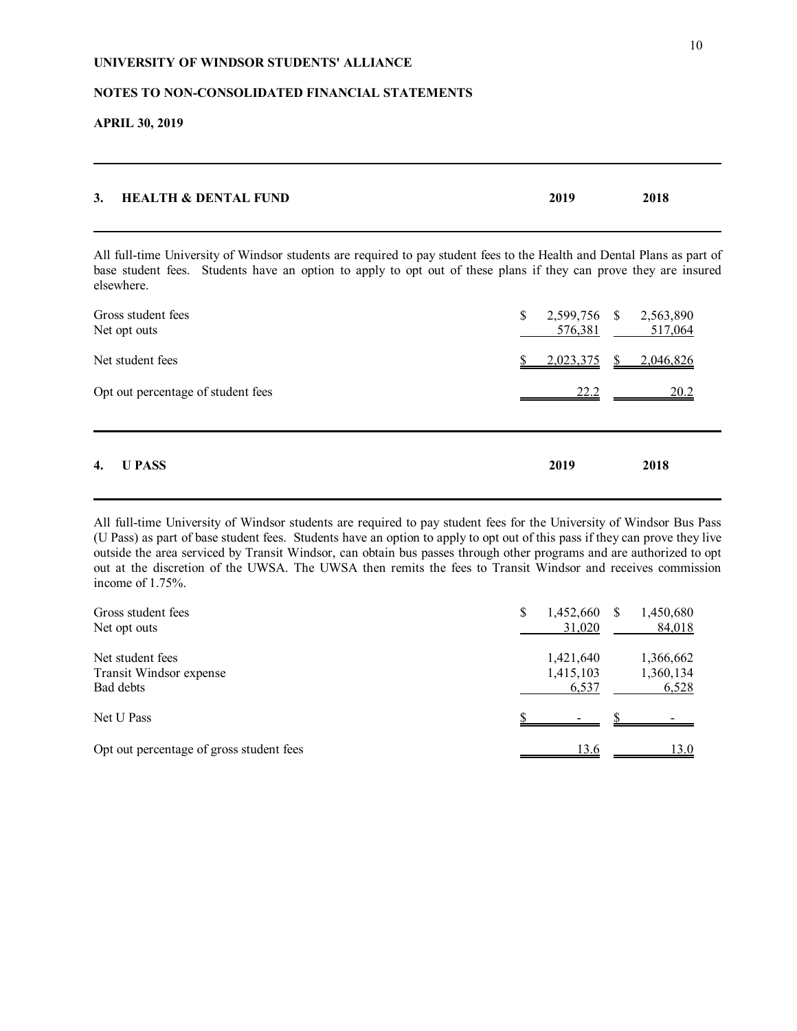### **NOTES TO NON-CONSOLIDATED FINANCIAL STATEMENTS**

**APRIL 30, 2019**

| 3. HEALTH & DENTAL FUND | 2019 | 2018 |
|-------------------------|------|------|
|                         |      |      |

All full-time University of Windsor students are required to pay student fees to the Health and Dental Plans as part of base student fees. Students have an option to apply to opt out of these plans if they can prove they are insured elsewhere.

| $\overline{4}$ .<br><b>U PASS</b>  | 2019          | 2018                              |
|------------------------------------|---------------|-----------------------------------|
| Opt out percentage of student fees | 22.2          | 20.2                              |
| Net student fees                   | 2,023,375     | $\frac{\$}{2,046,826}$            |
| Gross student fees<br>Net opt outs | \$<br>576,381 | 2,599,756 \$ 2,563,890<br>517,064 |

All full-time University of Windsor students are required to pay student fees for the University of Windsor Bus Pass (U Pass) as part of base student fees. Students have an option to apply to opt out of this pass if they can prove they live outside the area serviced by Transit Windsor, can obtain bus passes through other programs and are authorized to opt out at the discretion of the UWSA. The UWSA then remits the fees to Transit Windsor and receives commission income of 1.75%.

| Gross student fees                       | \$<br>1,452,660 | 1,450,680 |
|------------------------------------------|-----------------|-----------|
| Net opt outs                             | 31,020          | 84,018    |
| Net student fees                         | 1,421,640       | 1,366,662 |
| Transit Windsor expense                  | 1,415,103       | 1,360,134 |
| Bad debts                                | 6,537           | 6,528     |
| Net U Pass                               |                 |           |
| Opt out percentage of gross student fees | 13.6            | 13.0      |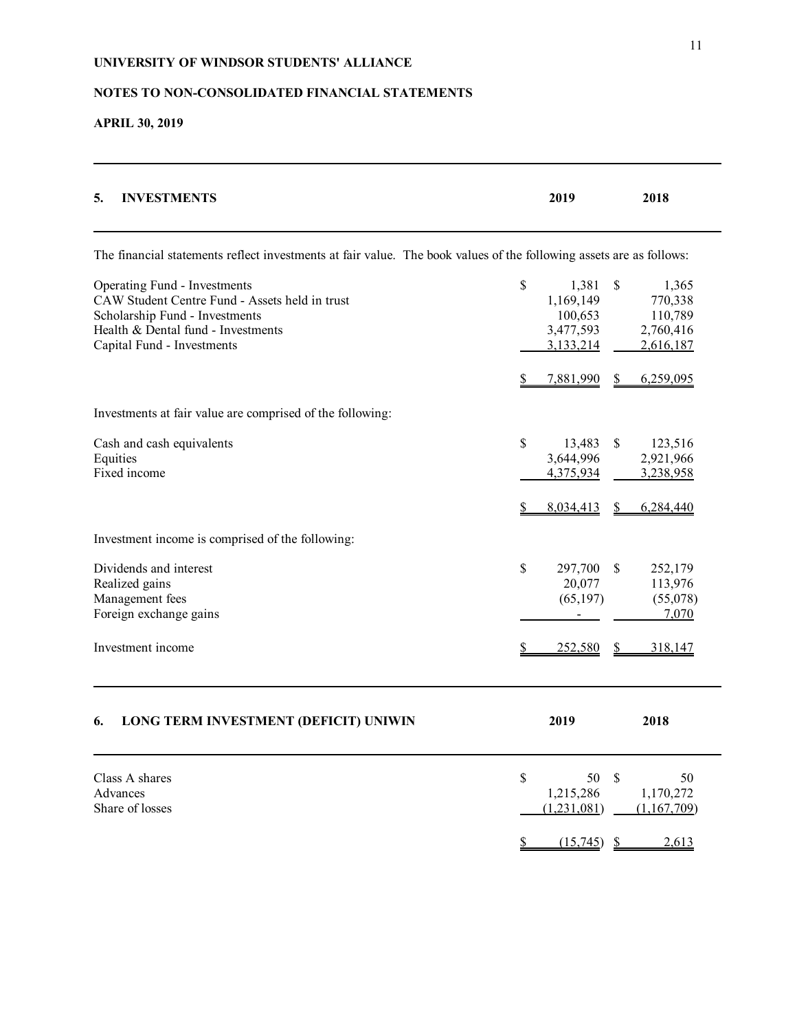# **NOTES TO NON-CONSOLIDATED FINANCIAL STATEMENTS**

**APRIL 30, 2019**

| <b>INVESTMENTS</b><br>5.                                                                                                                                                             | 2019                                                          | 2018                                                        |
|--------------------------------------------------------------------------------------------------------------------------------------------------------------------------------------|---------------------------------------------------------------|-------------------------------------------------------------|
| The financial statements reflect investments at fair value. The book values of the following assets are as follows:                                                                  |                                                               |                                                             |
| Operating Fund - Investments<br>CAW Student Centre Fund - Assets held in trust<br>Scholarship Fund - Investments<br>Health & Dental fund - Investments<br>Capital Fund - Investments | \$<br>1,381<br>1,169,149<br>100,653<br>3,477,593<br>3,133,214 | \$<br>1,365<br>770,338<br>110,789<br>2,760,416<br>2,616,187 |
|                                                                                                                                                                                      | 7,881,990<br>S                                                | \$<br>6,259,095                                             |
| Investments at fair value are comprised of the following:                                                                                                                            |                                                               |                                                             |
| Cash and cash equivalents<br>Equities<br>Fixed income                                                                                                                                | \$<br>13,483<br>3,644,996<br>4,375,934                        | \$<br>123,516<br>2,921,966<br>3,238,958                     |
| Investment income is comprised of the following:                                                                                                                                     | 8,034,413                                                     | 6,284,440<br>S                                              |
| Dividends and interest<br>Realized gains<br>Management fees<br>Foreign exchange gains<br>Investment income                                                                           | \$<br>297,700<br>20,077<br>(65, 197)<br>252,580               | \$<br>252,179<br>113,976<br>(55,078)<br>7,070<br>318,147    |
|                                                                                                                                                                                      |                                                               |                                                             |
| LONG TERM INVESTMENT (DEFICIT) UNIWIN<br>6.                                                                                                                                          | 2019                                                          | 2018                                                        |
| Class A shares<br>Advances<br>Share of losses                                                                                                                                        | \$<br>50<br>1,215,286<br>(1,231,081)                          | $\mathcal{S}$<br>50<br>1,170,272<br>(1, 167, 709)           |
|                                                                                                                                                                                      | (15,745)                                                      | 2,613                                                       |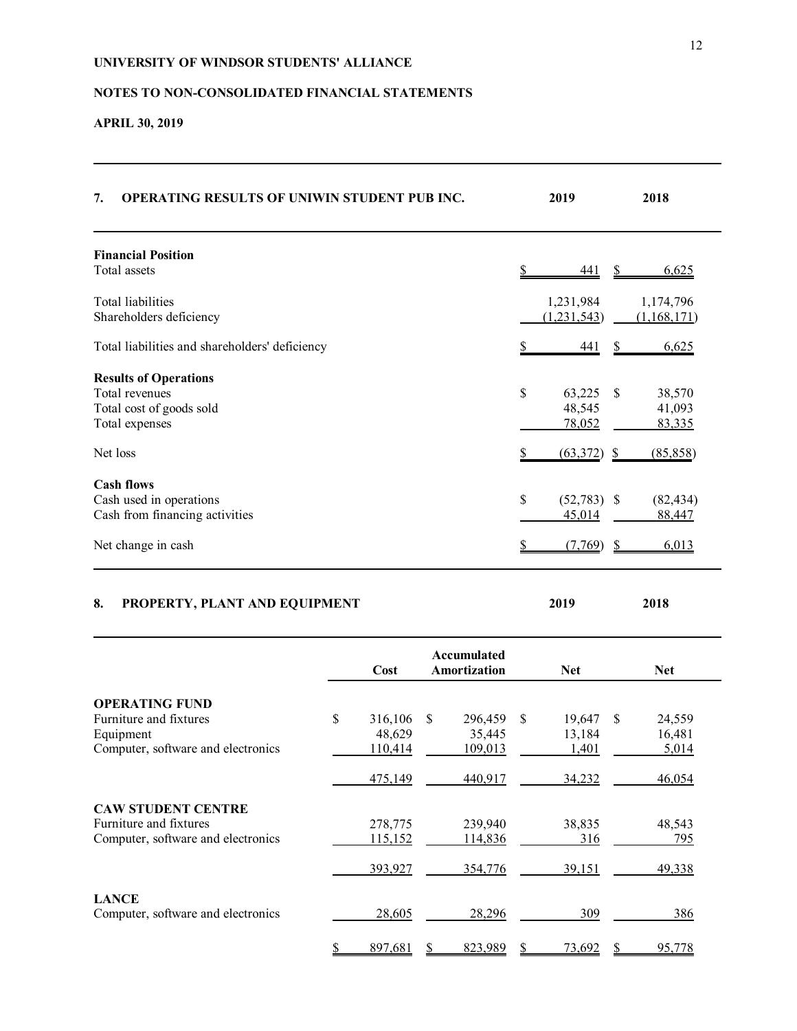# **NOTES TO NON-CONSOLIDATED FINANCIAL STATEMENTS**

# **APRIL 30, 2019**

**LANCE**

| 7.<br>OPERATING RESULTS OF UNIWIN STUDENT PUB INC.                                                   |                                    |               |                              |               | 2019                               |    | 2018                         |
|------------------------------------------------------------------------------------------------------|------------------------------------|---------------|------------------------------|---------------|------------------------------------|----|------------------------------|
| <b>Financial Position</b><br>Total assets                                                            |                                    |               |                              |               | 441                                |    | 6,625                        |
| Total liabilities<br>Shareholders deficiency                                                         |                                    |               |                              |               | 1,231,984<br>(1,231,543)           |    | 1,174,796<br>(1,168,171)     |
| Total liabilities and shareholders' deficiency                                                       |                                    |               |                              |               | 441                                | S  | <u>6,625</u>                 |
| <b>Results of Operations</b><br>Total revenues<br>Total cost of goods sold                           |                                    |               |                              | \$            | 63,225<br>48,545                   | \$ | 38,570<br>41,093             |
| Total expenses<br>Net loss                                                                           |                                    |               |                              |               | 78,052<br>(63,372)                 | S  | 83,335<br>(85, 858)          |
| <b>Cash flows</b><br>Cash used in operations<br>Cash from financing activities<br>Net change in cash |                                    |               |                              | \$            | $(52,783)$ \$<br>45,014<br>(7,769) | \$ | (82, 434)<br>88,447<br>6,013 |
| PROPERTY, PLANT AND EQUIPMENT<br>8.                                                                  |                                    |               |                              |               | 2019                               |    | 2018                         |
|                                                                                                      | Cost                               |               | Accumulated<br>Amortization  |               | <b>Net</b>                         |    | <b>Net</b>                   |
| <b>OPERATING FUND</b><br>Furniture and fixtures<br>Equipment<br>Computer, software and electronics   | \$<br>316,106<br>48,629<br>110,414 | $\mathcal{S}$ | 296,459<br>35,445<br>109,013 | $\mathcal{S}$ | 19,647<br>13,184<br>1,401          | \$ | 24,559<br>16,481<br>5,014    |
|                                                                                                      | 475,149                            |               | 440,917                      |               | 34,232                             |    | 46,054                       |
| <b>CAW STUDENT CENTRE</b><br>Furniture and fixtures<br>Computer, software and electronics            | 278,775<br>115,152                 |               | 239,940<br>114,836           |               | 38,835<br>316                      |    | 48,543<br>795                |
|                                                                                                      | 393,927                            |               | 354,776                      |               | 39,151                             |    | 49,338                       |

Computer, software and electronics 28,605 28,296 309 386

\$ 897,681 \$ 823,989 \$ 73,692 \$ 95,778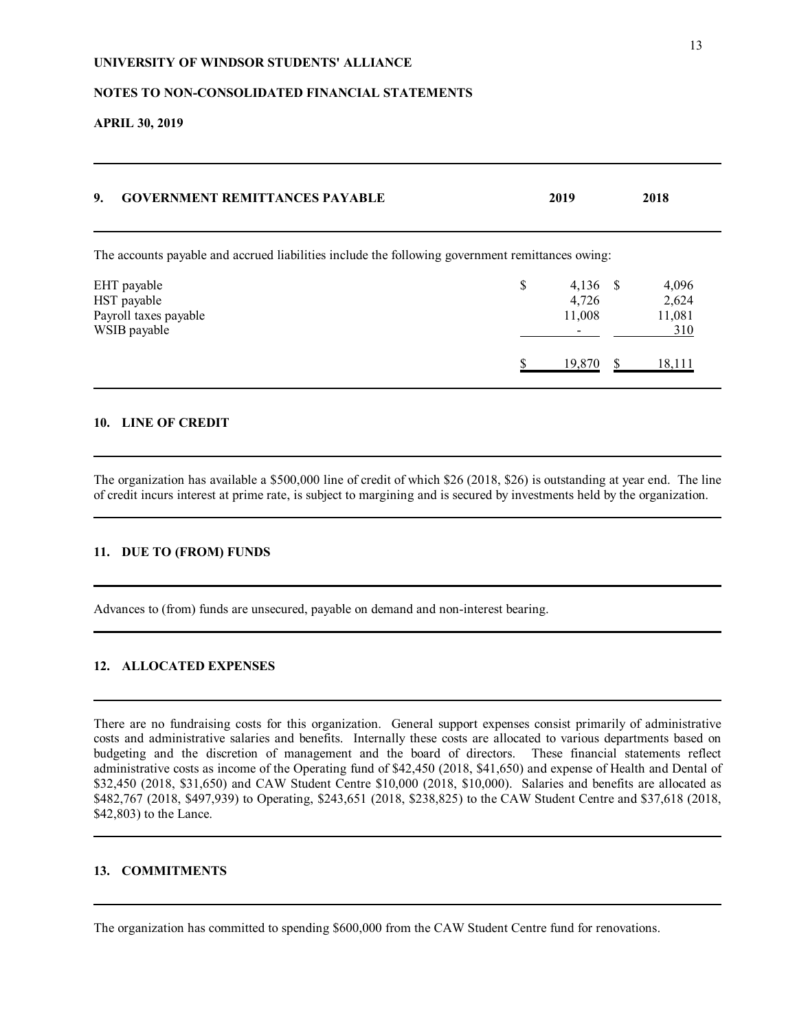### **NOTES TO NON-CONSOLIDATED FINANCIAL STATEMENTS**

**APRIL 30, 2019**

| 9.<br><b>GOVERNMENT REMITTANCES PAYABLE</b>                                                      | 2019 |                               | 2018                            |
|--------------------------------------------------------------------------------------------------|------|-------------------------------|---------------------------------|
| The accounts payable and accrued liabilities include the following government remittances owing: |      |                               |                                 |
| EHT payable<br>HST payable<br>Payroll taxes payable<br>WSIB payable                              | \$   | $4,136$ \$<br>4,726<br>11,008 | 4,096<br>2,624<br>11,081<br>310 |
|                                                                                                  |      | 19,870                        | 18,111                          |

### **10. LINE OF CREDIT**

The organization has available a \$500,000 line of credit of which \$26 (2018, \$26) is outstanding at year end. The line of credit incurs interest at prime rate, is subject to margining and is secured by investments held by the organization.

# **11. DUE TO (FROM) FUNDS**

Advances to (from) funds are unsecured, payable on demand and non-interest bearing.

### **12. ALLOCATED EXPENSES**

There are no fundraising costs for this organization. General support expenses consist primarily of administrative costs and administrative salaries and benefits. Internally these costs are allocated to various departments based on budgeting and the discretion of management and the board of directors. These financial statements reflect administrative costs as income of the Operating fund of \$42,450 (2018, \$41,650) and expense of Health and Dental of \$32,450 (2018, \$31,650) and CAW Student Centre \$10,000 (2018, \$10,000). Salaries and benefits are allocated as \$482,767 (2018, \$497,939) to Operating, \$243,651 (2018, \$238,825) to the CAW Student Centre and \$37,618 (2018, \$42,803) to the Lance.

### **13. COMMITMENTS**

The organization has committed to spending \$600,000 from the CAW Student Centre fund for renovations.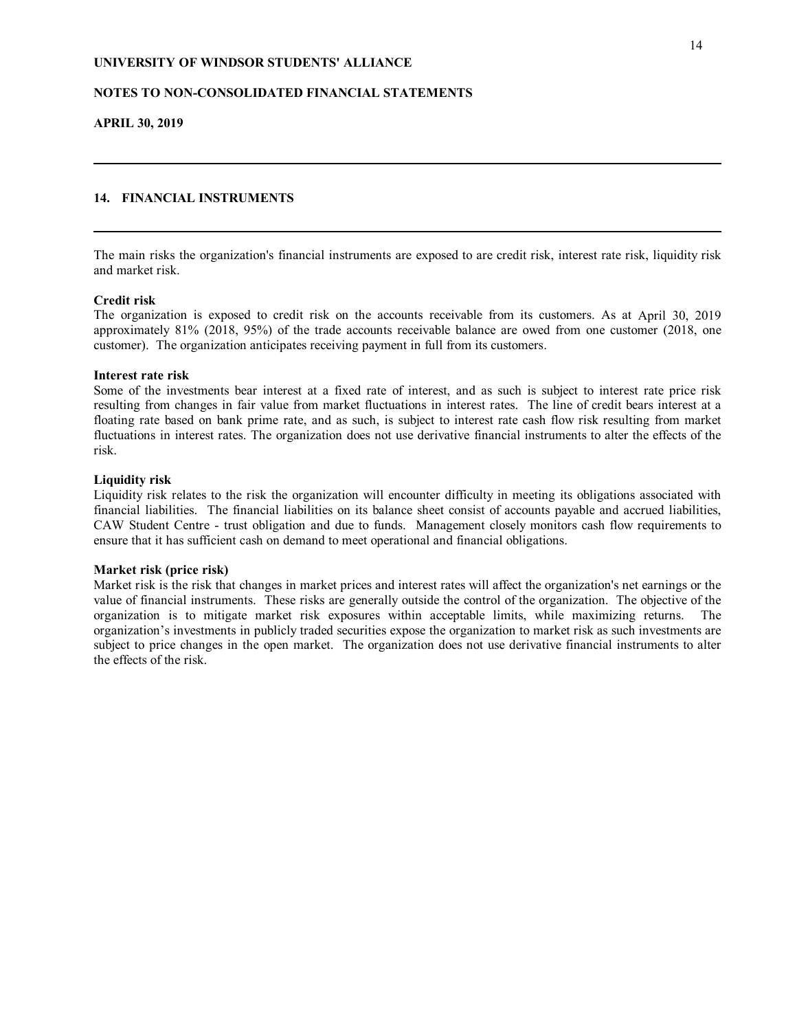### **NOTES TO NON-CONSOLIDATED FINANCIAL STATEMENTS**

**APRIL 30, 2019**

### **14. FINANCIAL INSTRUMENTS**

The main risks the organization's financial instruments are exposed to are credit risk, interest rate risk, liquidity risk and market risk.

### **Credit risk**

The organization is exposed to credit risk on the accounts receivable from its customers. As at April 30, 2019 approximately 81% (2018, 95%) of the trade accounts receivable balance are owed from one customer (2018, one customer). The organization anticipates receiving payment in full from its customers.

#### **Interest rate risk**

Some of the investments bear interest at a fixed rate of interest, and as such is subject to interest rate price risk resulting from changes in fair value from market fluctuations in interest rates. The line of credit bears interest at a floating rate based on bank prime rate, and as such, is subject to interest rate cash flow risk resulting from market fluctuations in interest rates. The organization does not use derivative financial instruments to alter the effects of the risk.

#### **Liquidity risk**

Liquidity risk relates to the risk the organization will encounter difficulty in meeting its obligations associated with financial liabilities. The financial liabilities on its balance sheet consist of accounts payable and accrued liabilities, CAW Student Centre - trust obligation and due to funds. Management closely monitors cash flow requirements to ensure that it has sufficient cash on demand to meet operational and financial obligations.

#### **Market risk (price risk)**

Market risk is the risk that changes in market prices and interest rates will affect the organization's net earnings or the value of financial instruments. These risks are generally outside the control of the organization. The objective of the organization is to mitigate market risk exposures within acceptable limits, while maximizing returns. The organization's investments in publicly traded securities expose the organization to market risk as such investments are subject to price changes in the open market. The organization does not use derivative financial instruments to alter the effects of the risk.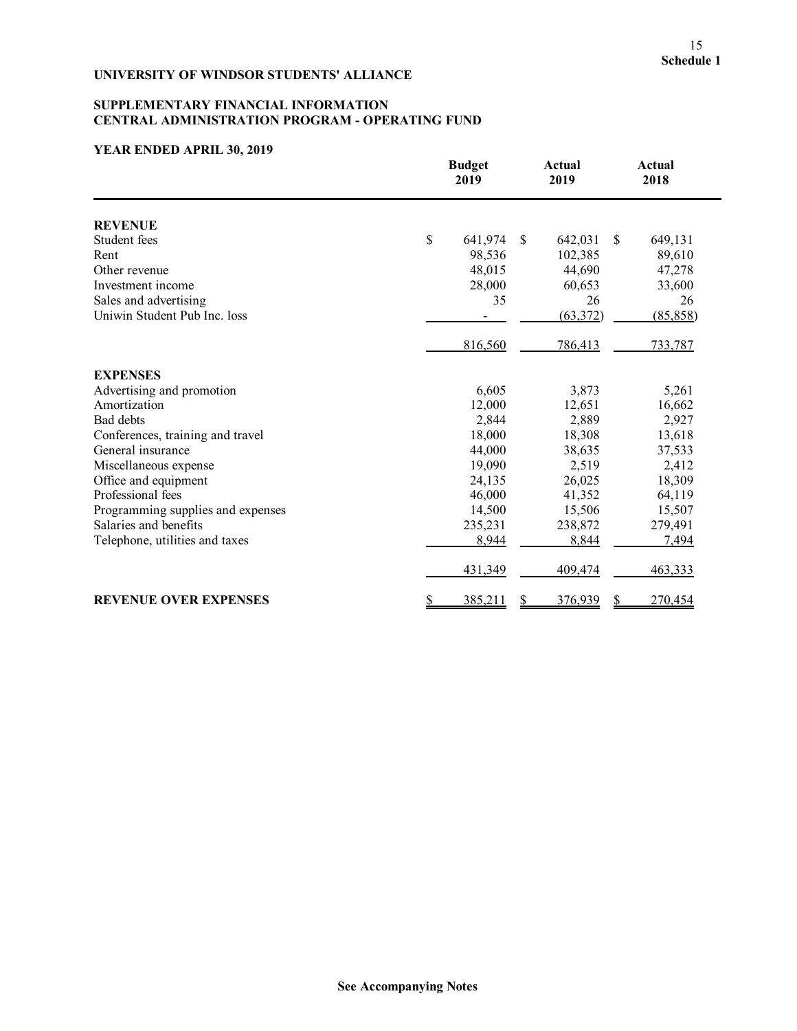# **SUPPLEMENTARY FINANCIAL INFORMATION CENTRAL ADMINISTRATION PROGRAM - OPERATING FUND**

|                                   | <b>Budget</b><br>2019          | <b>Actual</b><br>2019 | <b>Actual</b><br>2018 |
|-----------------------------------|--------------------------------|-----------------------|-----------------------|
| <b>REVENUE</b>                    |                                |                       |                       |
| Student fees                      | \$<br>641,974<br><sup>\$</sup> | 642,031               | \$<br>649,131         |
| Rent                              | 98,536                         | 102,385               | 89,610                |
| Other revenue                     | 48,015                         | 44,690                | 47,278                |
| Investment income                 | 28,000                         | 60,653                | 33,600                |
| Sales and advertising             | 35                             | 26                    | 26                    |
| Uniwin Student Pub Inc. loss      |                                | (63, 372)             | (85, 858)             |
|                                   | 816,560                        | 786,413               | 733,787               |
| <b>EXPENSES</b>                   |                                |                       |                       |
| Advertising and promotion         | 6,605                          | 3,873                 | 5,261                 |
| Amortization                      | 12,000                         | 12,651                | 16,662                |
| <b>Bad debts</b>                  | 2,844                          | 2,889                 | 2,927                 |
| Conferences, training and travel  | 18,000                         | 18,308                | 13,618                |
| General insurance                 | 44,000                         | 38,635                | 37,533                |
| Miscellaneous expense             | 19,090                         | 2,519                 | 2,412                 |
| Office and equipment              | 24,135                         | 26,025                | 18,309                |
| Professional fees                 | 46,000                         | 41,352                | 64,119                |
| Programming supplies and expenses | 14,500                         | 15,506                | 15,507                |
| Salaries and benefits             | 235,231                        | 238,872               | 279,491               |
| Telephone, utilities and taxes    | 8,944                          | 8,844                 | 7,494                 |
|                                   | 431,349                        | 409,474               | 463,333               |
| <b>REVENUE OVER EXPENSES</b>      | <u>\$</u><br>385,211           | 376,939               | 270,454<br>S          |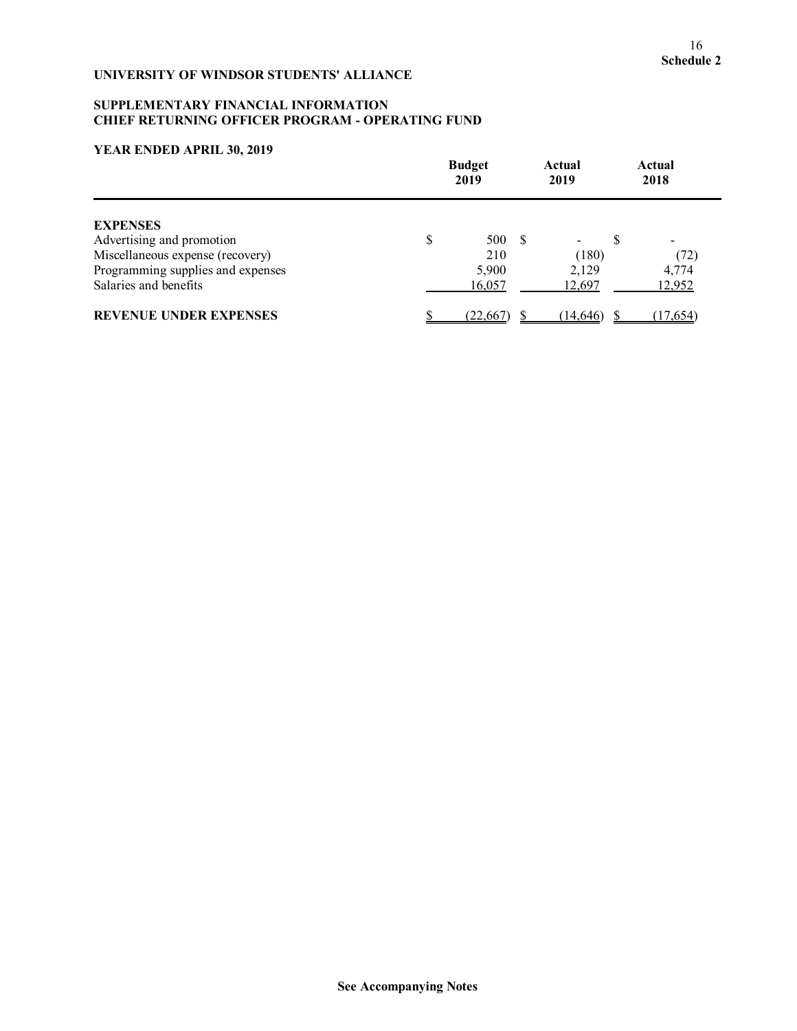### **SUPPLEMENTARY FINANCIAL INFORMATION CHIEF RETURNING OFFICER PROGRAM - OPERATING FUND**

|                                   | <b>Budget</b><br>2019 |           | Actual<br>2019 |  | <b>Actual</b><br>2018 |  |
|-----------------------------------|-----------------------|-----------|----------------|--|-----------------------|--|
| <b>EXPENSES</b>                   |                       |           |                |  |                       |  |
| Advertising and promotion         | \$                    | 500 \$    |                |  |                       |  |
| Miscellaneous expense (recovery)  |                       | 210       | (180)          |  | (72)                  |  |
| Programming supplies and expenses |                       | 5,900     | 2,129          |  | 4,774                 |  |
| Salaries and benefits             |                       | 16,057    | 12,697         |  | 12,952                |  |
| <b>REVENUE UNDER EXPENSES</b>     |                       | (22, 667) | (14, 646)      |  | (17,654)              |  |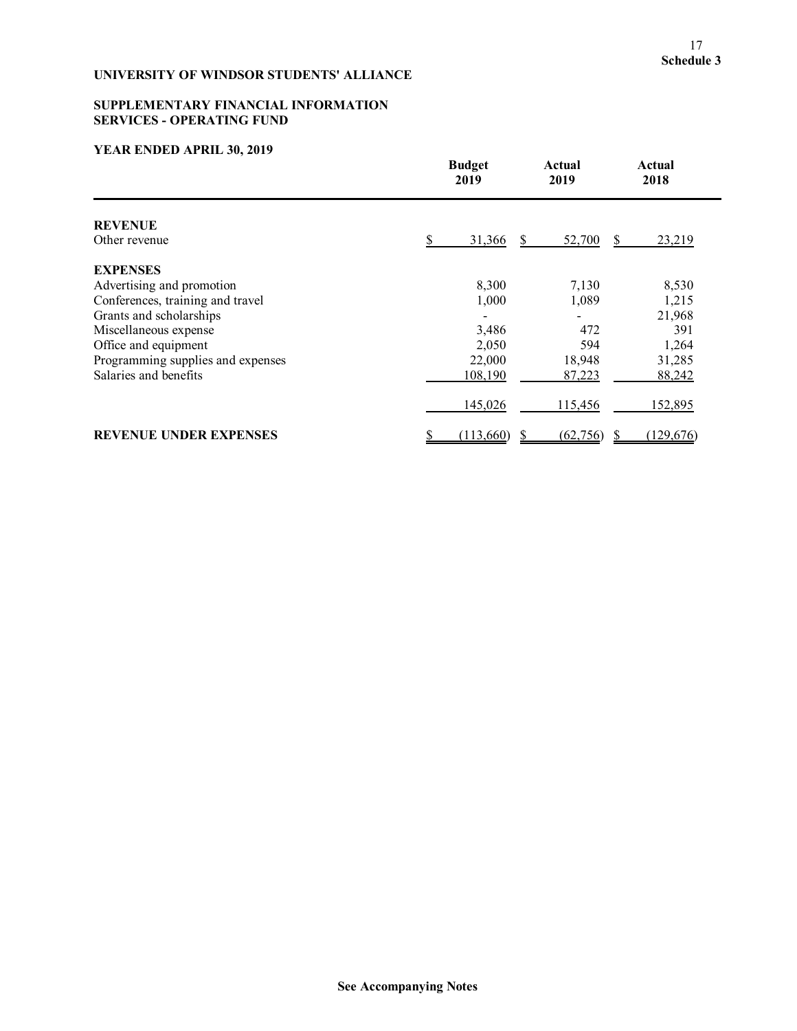# **SUPPLEMENTARY FINANCIAL INFORMATION SERVICES - OPERATING FUND**

| <b>Budget</b><br>2019             |           | Actual<br>2019 | Actual<br>2018 |
|-----------------------------------|-----------|----------------|----------------|
| <b>REVENUE</b>                    |           |                |                |
| Other revenue                     | 31,366    | 52,700         | 23,219<br>S.   |
| <b>EXPENSES</b>                   |           |                |                |
| Advertising and promotion         | 8,300     | 7,130          | 8,530          |
| Conferences, training and travel  | 1,000     | 1,089          | 1,215          |
| Grants and scholarships           |           |                | 21,968         |
| Miscellaneous expense             | 3,486     | 472            | 391            |
| Office and equipment              | 2,050     | 594            | 1,264          |
| Programming supplies and expenses | 22,000    | 18,948         | 31,285         |
| Salaries and benefits             | 108,190   | 87,223         | 88,242         |
|                                   | 145,026   | 115,456        | 152,895        |
| <b>REVENUE UNDER EXPENSES</b>     | (113,660) | (62, 756)      | (129, 676)     |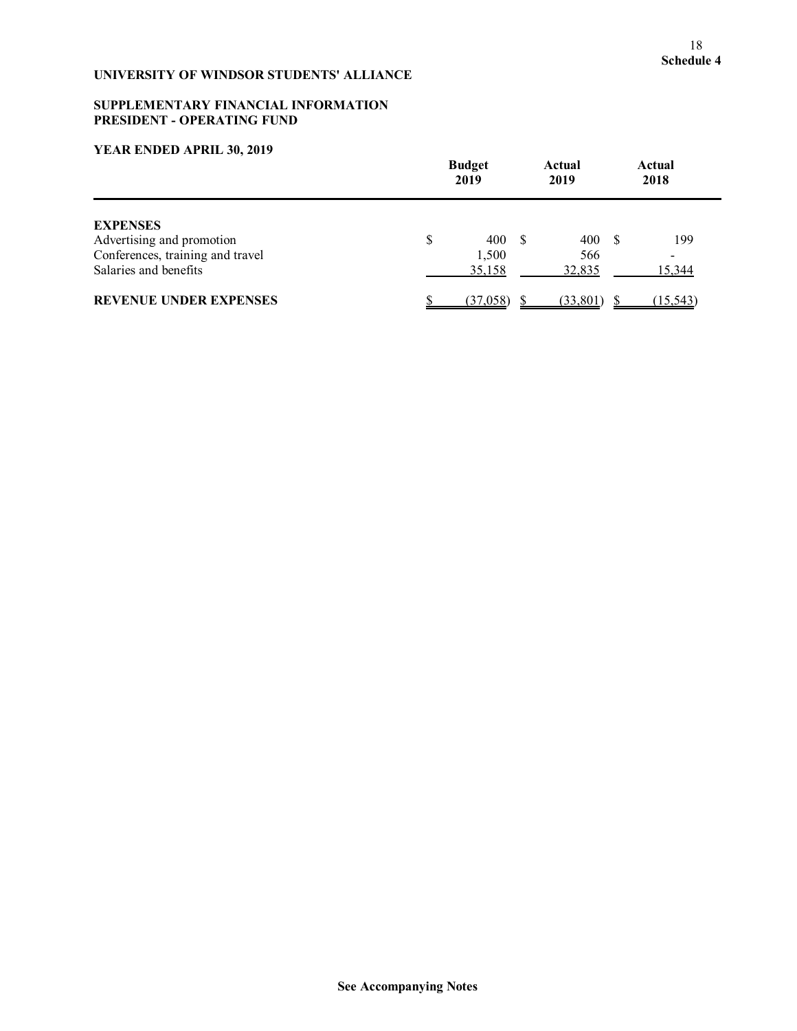### **SUPPLEMENTARY FINANCIAL INFORMATION PRESIDENT - OPERATING FUND**

|                                                                                                           |   | <b>Budget</b><br>2019  |  | Actual<br>2019       |     | Actual<br>2018 |
|-----------------------------------------------------------------------------------------------------------|---|------------------------|--|----------------------|-----|----------------|
| <b>EXPENSES</b><br>Advertising and promotion<br>Conferences, training and travel<br>Salaries and benefits | S | 400<br>1,500<br>35,158 |  | 400<br>566<br>32,835 | - S | 199<br>15,344  |
| <b>REVENUE UNDER EXPENSES</b>                                                                             |   | (37,058)               |  | (33, 801)            |     | (15, 543)      |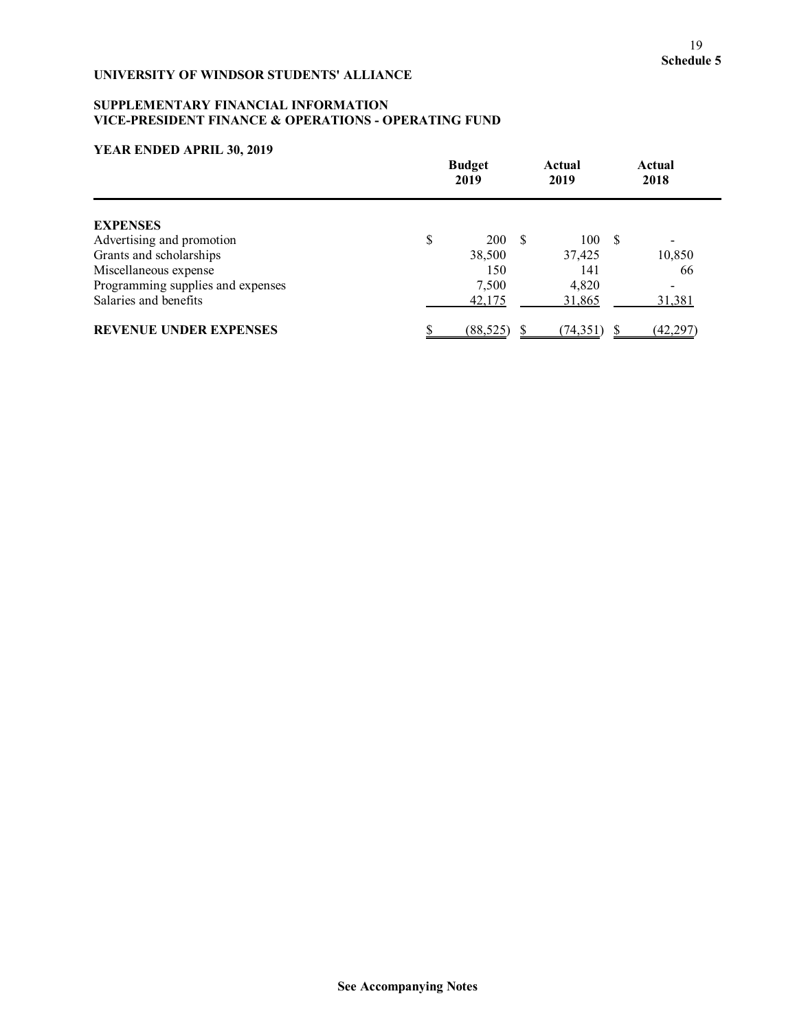# **SUPPLEMENTARY FINANCIAL INFORMATION VICE-PRESIDENT FINANCE & OPERATIONS - OPERATING FUND**

|                                   | <b>Budget</b><br>2019 |  | Actual<br>2019 |  | <b>Actual</b><br>2018    |  |
|-----------------------------------|-----------------------|--|----------------|--|--------------------------|--|
| <b>EXPENSES</b>                   |                       |  |                |  |                          |  |
| Advertising and promotion         | \$<br>200 \$          |  | 100S           |  | $\overline{\phantom{0}}$ |  |
| Grants and scholarships           | 38,500                |  | 37,425         |  | 10,850                   |  |
| Miscellaneous expense             | 150                   |  | 141            |  | 66                       |  |
| Programming supplies and expenses | 7,500                 |  | 4,820          |  |                          |  |
| Salaries and benefits             | 42,175                |  | 31,865         |  | 31,381                   |  |
| <b>REVENUE UNDER EXPENSES</b>     | (88, 525)             |  | (74, 351)      |  | (42,297)                 |  |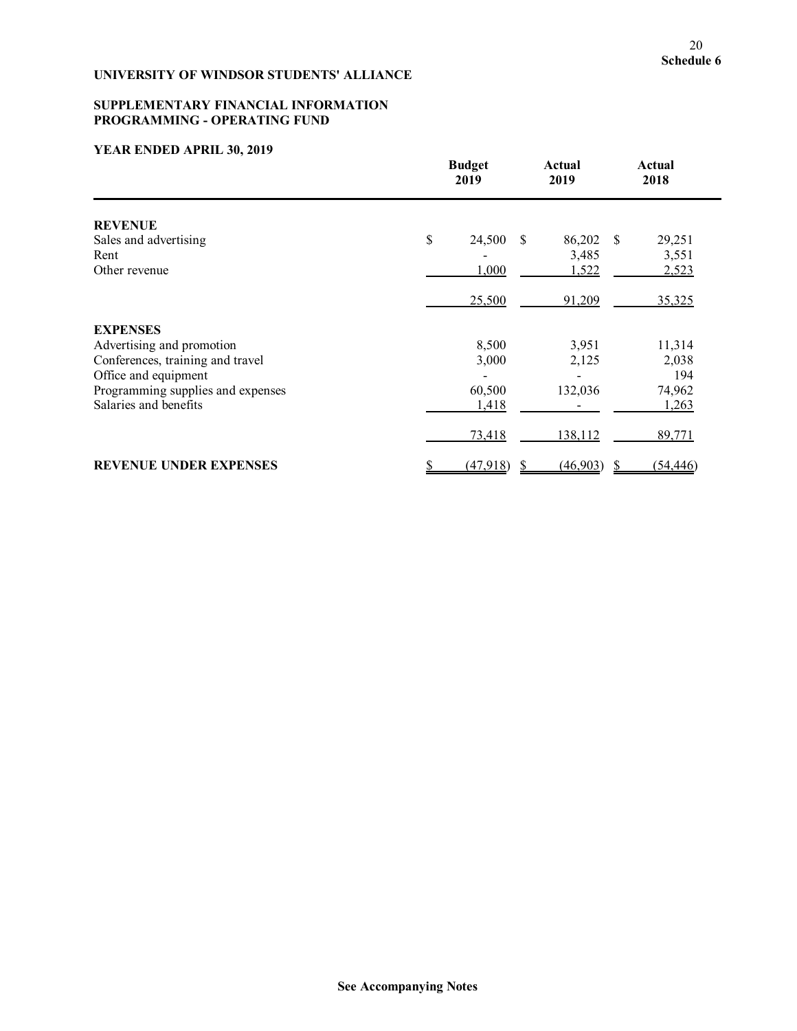### **SUPPLEMENTARY FINANCIAL INFORMATION PROGRAMMING - OPERATING FUND**

|                                   | <b>Budget</b><br>2019 |                         | Actual<br>2019 | <b>Actual</b><br>2018 |           |
|-----------------------------------|-----------------------|-------------------------|----------------|-----------------------|-----------|
| <b>REVENUE</b>                    |                       |                         |                |                       |           |
| Sales and advertising             | \$                    | 24,500<br><sup>\$</sup> | 86,202 \$      |                       | 29,251    |
| Rent                              |                       |                         | 3,485          |                       | 3,551     |
| Other revenue                     |                       | 1,000                   | 1,522          |                       | 2,523     |
|                                   |                       | 25,500                  | 91,209         |                       | 35,325    |
| <b>EXPENSES</b>                   |                       |                         |                |                       |           |
| Advertising and promotion         |                       | 8,500                   | 3,951          |                       | 11,314    |
| Conferences, training and travel  |                       | 3,000                   | 2,125          |                       | 2,038     |
| Office and equipment              |                       |                         |                |                       | 194       |
| Programming supplies and expenses |                       | 60,500                  | 132,036        |                       | 74,962    |
| Salaries and benefits             |                       | 1,418                   |                |                       | 1,263     |
|                                   |                       | 73,418                  | 138,112        |                       | 89,771    |
| <b>REVENUE UNDER EXPENSES</b>     |                       | (47,918)                | (46,903)       | S                     | (54, 446) |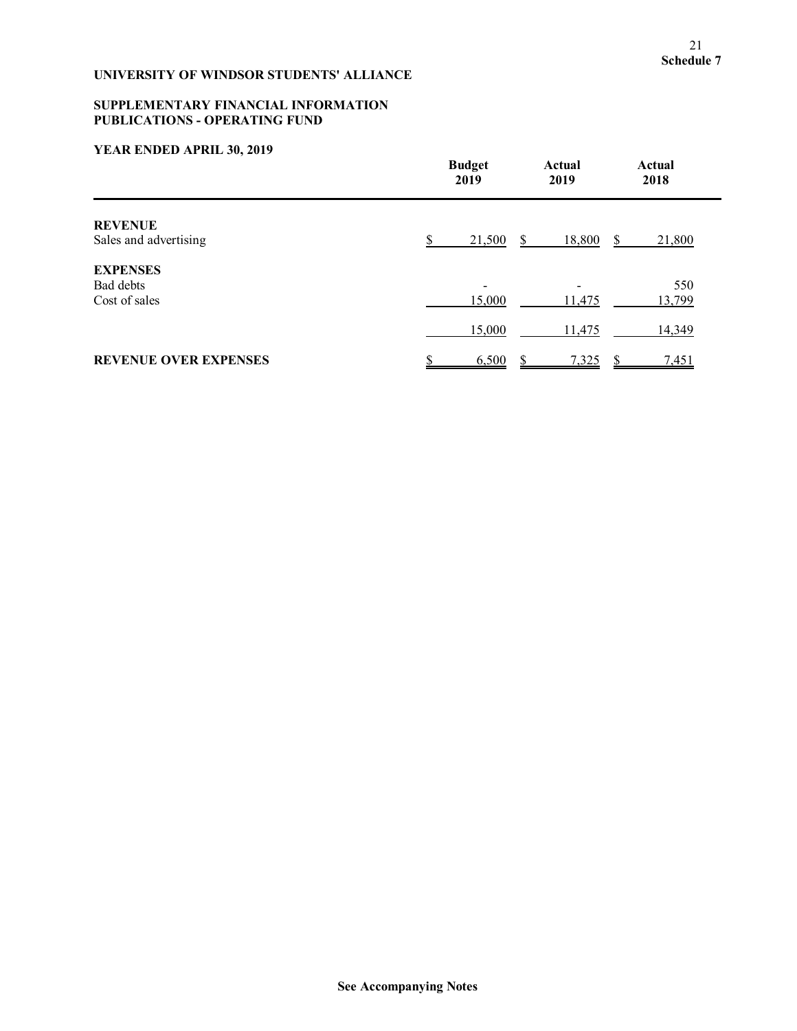# **SUPPLEMENTARY FINANCIAL INFORMATION PUBLICATIONS - OPERATING FUND**

|                              | <b>Budget</b><br>2019 | Actual<br>2019 | Actual<br>2018 |
|------------------------------|-----------------------|----------------|----------------|
| <b>REVENUE</b>               |                       |                |                |
| Sales and advertising        | 21,500                | 18,800         | 21,800<br>S    |
| <b>EXPENSES</b>              |                       |                |                |
| Bad debts                    |                       |                | 550            |
| Cost of sales                | 15,000                | 11,475         | 13,799         |
|                              | 15,000                | 11,475         | 14,349         |
| <b>REVENUE OVER EXPENSES</b> | 6,500                 | 7,325          | 7,451          |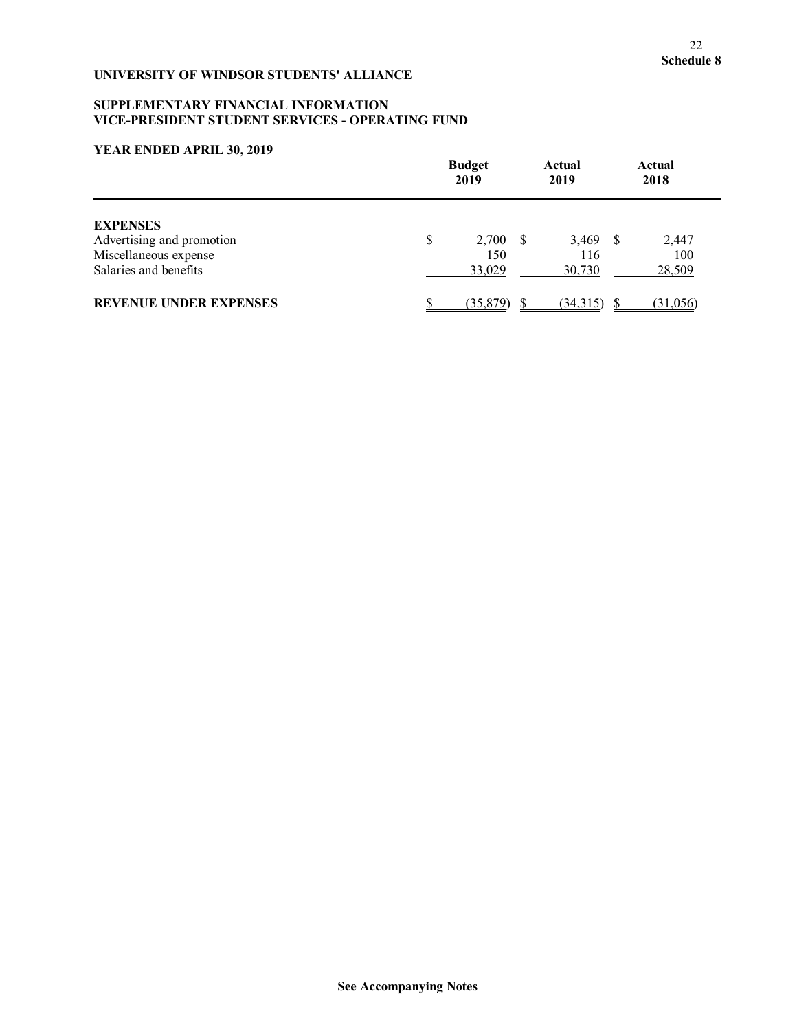### **SUPPLEMENTARY FINANCIAL INFORMATION VICE-PRESIDENT STUDENT SERVICES - OPERATING FUND**

| <b>Budget</b><br>2019                                                                          |    | Actual<br>2019              |                             | Actual<br>2018 |                        |
|------------------------------------------------------------------------------------------------|----|-----------------------------|-----------------------------|----------------|------------------------|
| <b>EXPENSES</b><br>Advertising and promotion<br>Miscellaneous expense<br>Salaries and benefits | \$ | $2,700$ \$<br>150<br>33,029 | $3,469$ \$<br>116<br>30,730 |                | 2,447<br>100<br>28,509 |
| <b>REVENUE UNDER EXPENSES</b>                                                                  |    | (35, 879)                   | (34,315)                    |                | (31,056)               |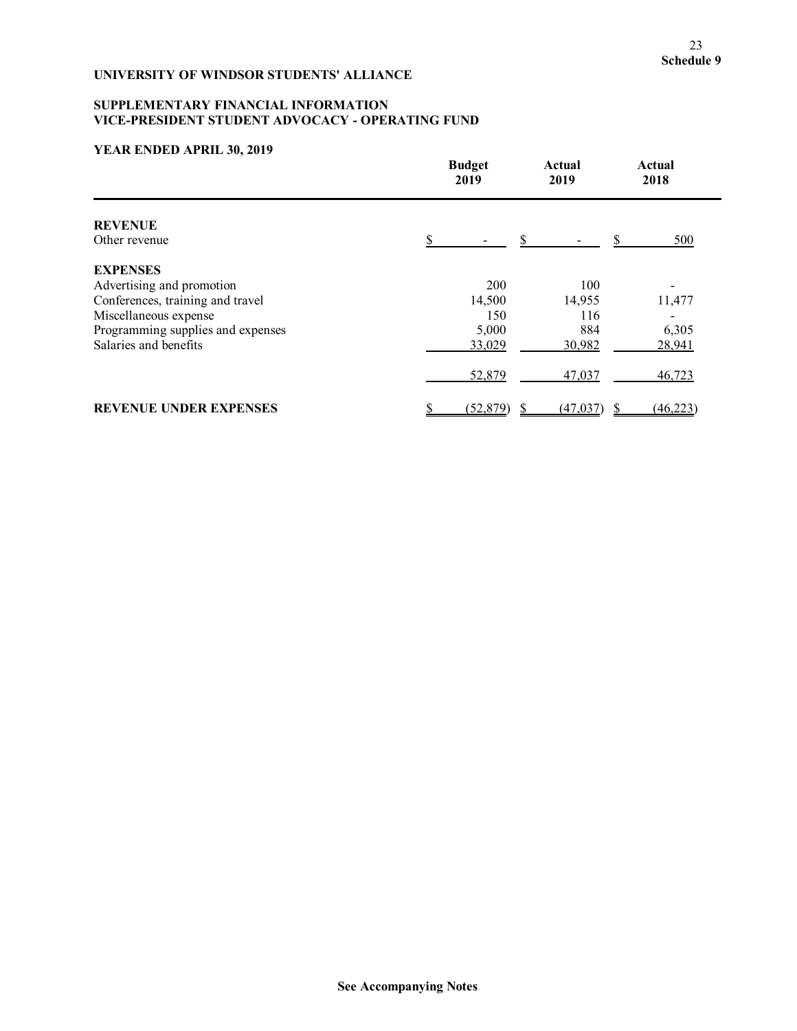# **SUPPLEMENTARY FINANCIAL INFORMATION VICE-PRESIDENT STUDENT ADVOCACY - OPERATING FUND**

|                                   | <b>Budget</b><br>2019 |     | Actual<br>2019 |  | Actual<br>2018 |
|-----------------------------------|-----------------------|-----|----------------|--|----------------|
| <b>REVENUE</b>                    |                       |     |                |  |                |
| Other revenue                     |                       |     |                |  | 500            |
| <b>EXPENSES</b>                   |                       |     |                |  |                |
| Advertising and promotion         |                       | 200 | 100            |  |                |
| Conferences, training and travel  | 14,500                |     | 14,955         |  | 11,477         |
| Miscellaneous expense             |                       | 150 | 116            |  |                |
| Programming supplies and expenses | 5,000                 |     | 884            |  | 6,305          |
| Salaries and benefits             | 33,029                |     | 30,982         |  | 28,941         |
|                                   | 52,879                |     | 47,037         |  | 46,723         |
| <b>REVENUE UNDER EXPENSES</b>     | (52, 879)<br>S        |     | (47, 037)      |  | (46, 223)      |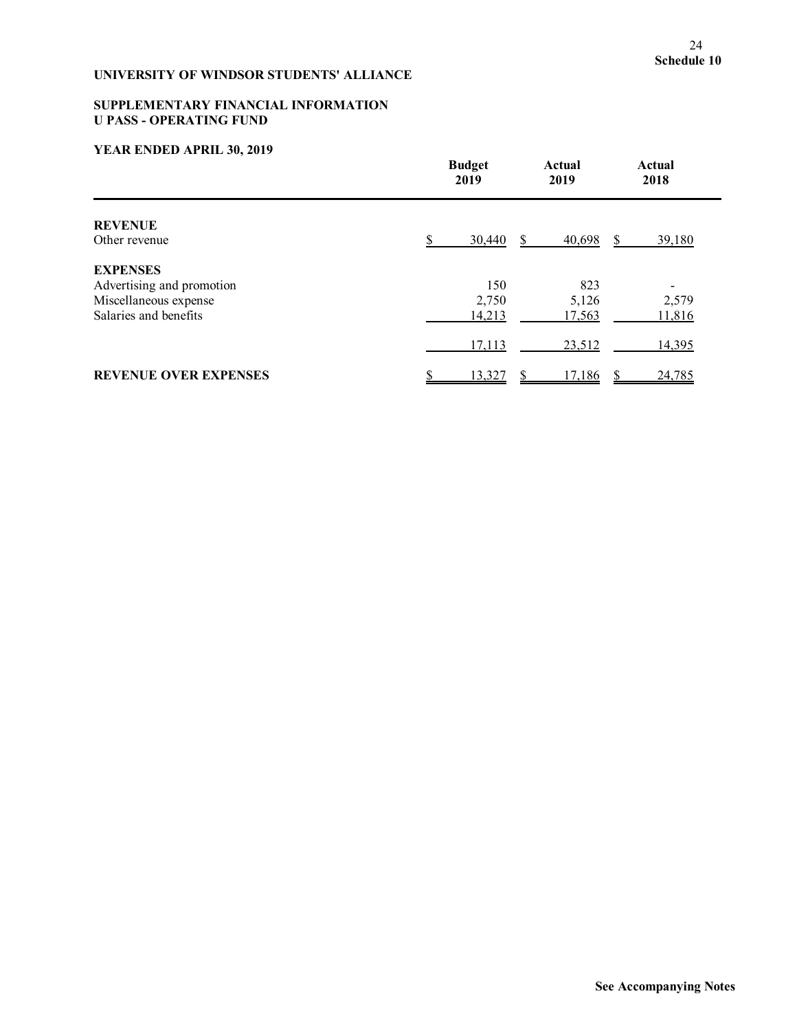# **SUPPLEMENTARY FINANCIAL INFORMATION U PASS - OPERATING FUND**

|                                 | <b>Budget</b><br>2019 | Actual<br>2019 | Actual<br>2018 |
|---------------------------------|-----------------------|----------------|----------------|
| <b>REVENUE</b><br>Other revenue | 30,440                | 40,698         | 39,180         |
| <b>EXPENSES</b>                 |                       |                |                |
| Advertising and promotion       | 150                   | 823            |                |
| Miscellaneous expense           | 2,750                 | 5,126          | 2,579          |
| Salaries and benefits           | 14,213                | 17,563         | 11,816         |
|                                 | 17,113                | 23,512         | 14,395         |
| <b>REVENUE OVER EXPENSES</b>    | 13,327                | 17,186         | 24,785         |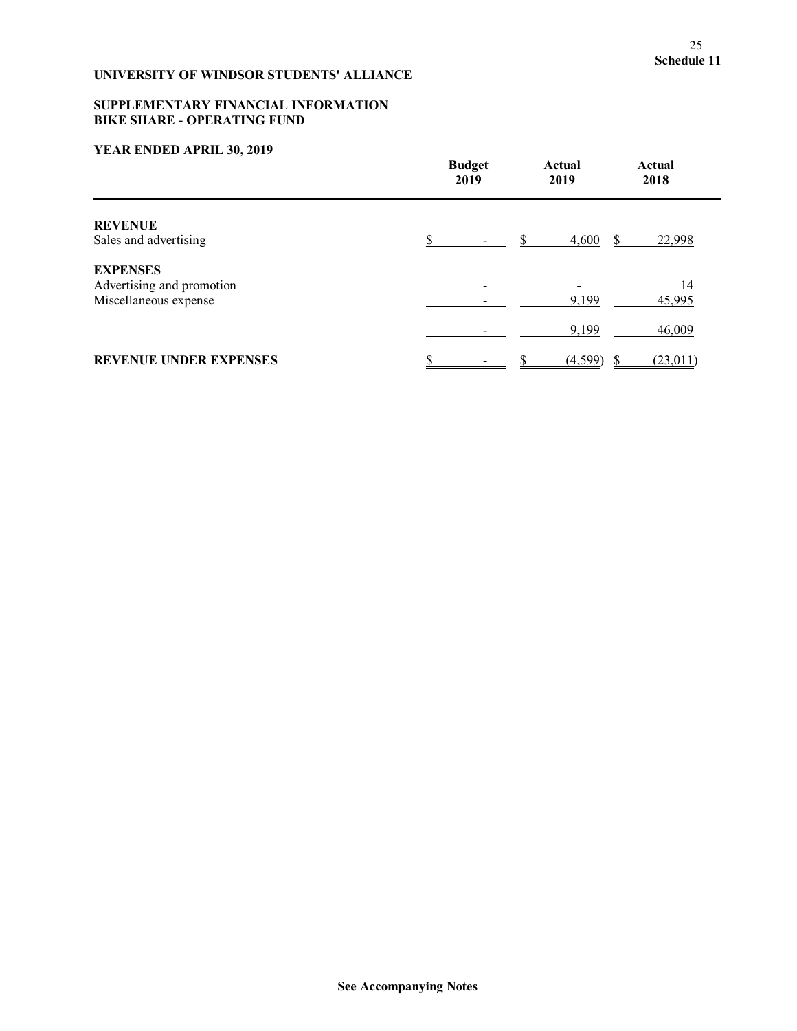### **SUPPLEMENTARY FINANCIAL INFORMATION BIKE SHARE - OPERATING FUND**

|                               | <b>Budget</b><br>2019 | Actual<br>2019 | Actual<br>2018 |
|-------------------------------|-----------------------|----------------|----------------|
| <b>REVENUE</b>                |                       |                |                |
| Sales and advertising         |                       | 4,600          | 22,998         |
| <b>EXPENSES</b>               |                       |                |                |
| Advertising and promotion     |                       |                | 14             |
| Miscellaneous expense         |                       | 9,199          | 45,995         |
|                               |                       | 9,199          | 46,009         |
| <b>REVENUE UNDER EXPENSES</b> |                       | (4,599)        | (23,011)       |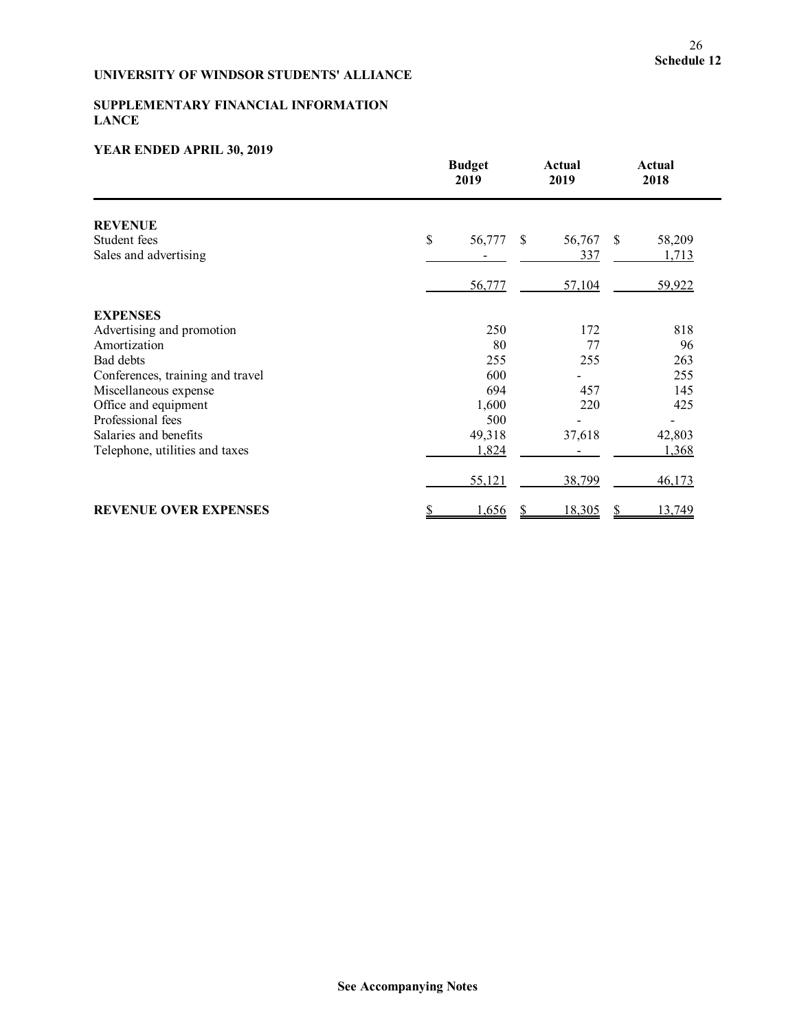### **SUPPLEMENTARY FINANCIAL INFORMATION LANCE**

|                                  | <b>Budget</b><br>2019 | <b>Actual</b><br>2019 | <b>Actual</b><br>2018 |
|----------------------------------|-----------------------|-----------------------|-----------------------|
| <b>REVENUE</b>                   |                       |                       |                       |
| Student fees                     | \$<br>56,777<br>\$    | 56,767                | \$<br>58,209          |
| Sales and advertising            |                       | 337                   | 1,713                 |
|                                  | 56,777                | 57,104                | 59,922                |
| <b>EXPENSES</b>                  |                       |                       |                       |
| Advertising and promotion        | 250                   | 172                   | 818                   |
| Amortization                     | 80                    | 77                    | 96                    |
| Bad debts                        | 255                   | 255                   | 263                   |
| Conferences, training and travel | 600                   |                       | 255                   |
| Miscellaneous expense            | 694                   | 457                   | 145                   |
| Office and equipment             | 1,600                 | 220                   | 425                   |
| Professional fees                | 500                   |                       |                       |
| Salaries and benefits            | 49,318                | 37,618                | 42,803                |
| Telephone, utilities and taxes   | 1,824                 |                       | 1,368                 |
|                                  | 55,121                | 38,799                | 46,173                |
| <b>REVENUE OVER EXPENSES</b>     | \$<br>1,656<br>S      | 18,305                | 13,749<br>S           |